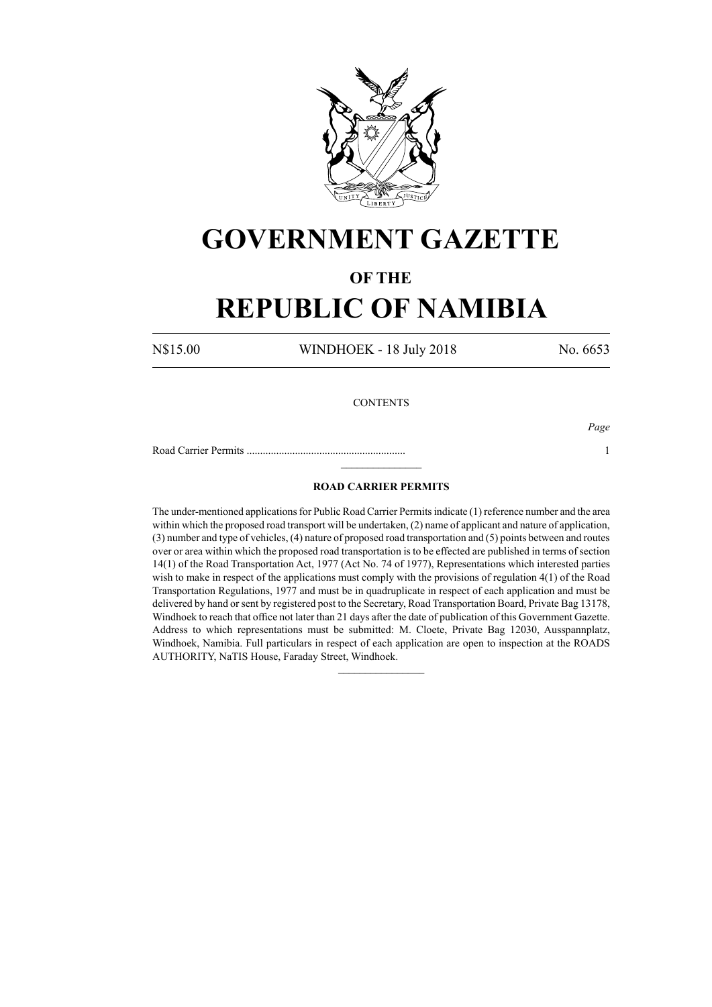

# **GOVERNMENT GAZETTE**

### **OF THE**

## **REPUBLIC OF NAMIBIA**

N\$15.00 WINDHOEK - 18 July 2018 No. 6653

#### **CONTENTS**

Road Carrier Permits ........................................................... 1

*Page*

### **ROAD CARRIER PERMITS**

 $\frac{1}{2}$ 

The under-mentioned applications for Public Road Carrier Permits indicate (1) reference number and the area within which the proposed road transport will be undertaken, (2) name of applicant and nature of application, (3) number and type of vehicles, (4) nature of proposed road transportation and (5) points between and routes over or area within which the proposed road transportation is to be effected are published in terms of section 14(1) of the Road Transportation Act, 1977 (Act No. 74 of 1977), Representations which interested parties wish to make in respect of the applications must comply with the provisions of regulation 4(1) of the Road Transportation Regulations, 1977 and must be in quadruplicate in respect of each application and must be delivered by hand or sent by registered post to the Secretary, Road Transportation Board, Private Bag 13178, Windhoek to reach that office not later than 21 days after the date of publication of this Government Gazette. Address to which representations must be submitted: M. Cloete, Private Bag 12030, Ausspannplatz, Windhoek, Namibia. Full particulars in respect of each application are open to inspection at the ROADS AUTHORITY, NaTIS House, Faraday Street, Windhoek.

 $\frac{1}{2}$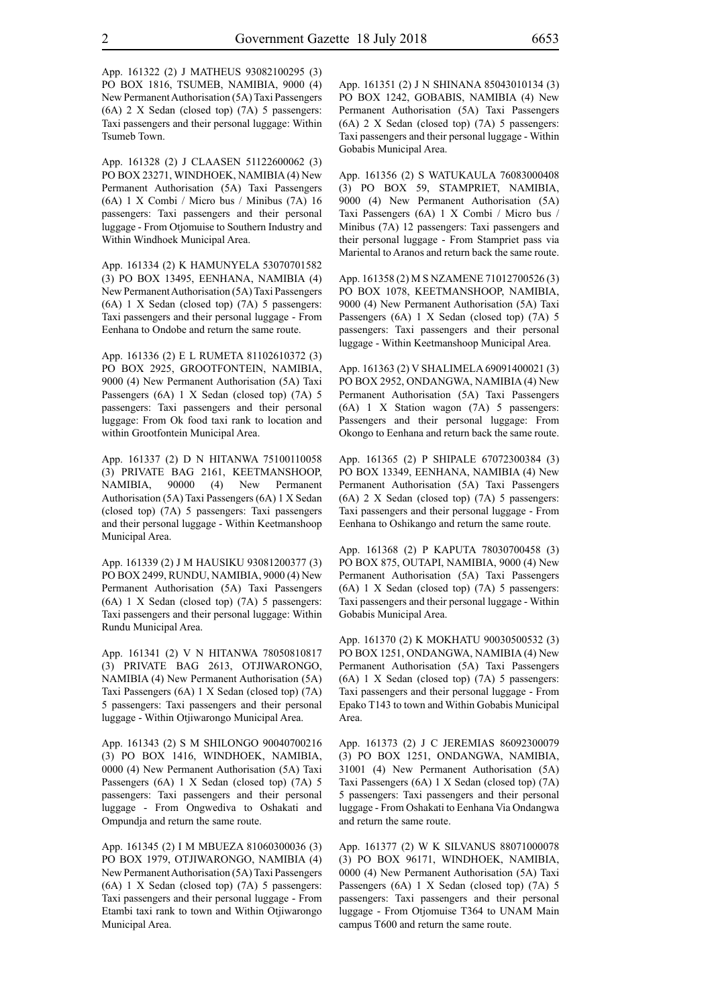App. 161328 (2) J CLAASEN 51122600062 (3) PO BOX 23271, WINDHOEK, NAMIBIA (4) New Permanent Authorisation (5A) Taxi Passengers (6A) 1 X Combi / Micro bus / Minibus (7A) 16 passengers: Taxi passengers and their personal luggage - From Otjomuise to Southern Industry and Within Windhoek Municipal Area.

App. 161334 (2) K HAMUNYELA 53070701582 (3) PO BOX 13495, EENHANA, NAMIBIA (4) New Permanent Authorisation (5A) Taxi Passengers (6A) 1 X Sedan (closed top) (7A) 5 passengers: Taxi passengers and their personal luggage - From Eenhana to Ondobe and return the same route.

App. 161336 (2) E L RUMETA 81102610372 (3) PO BOX 2925, GROOTFONTEIN, NAMIBIA, 9000 (4) New Permanent Authorisation (5A) Taxi Passengers (6A) 1 X Sedan (closed top) (7A) 5 passengers: Taxi passengers and their personal luggage: From Ok food taxi rank to location and within Grootfontein Municipal Area.

App. 161337 (2) D N HITANWA 75100110058 (3) PRIVATE BAG 2161, KEETMANSHOOP, NAMIBIA, 90000 (4) New Permanent Authorisation (5A) Taxi Passengers (6A) 1 X Sedan (closed top) (7A) 5 passengers: Taxi passengers and their personal luggage - Within Keetmanshoop Municipal Area.

App. 161339 (2) J M HAUSIKU 93081200377 (3) PO BOX 2499, RUNDU, NAMIBIA, 9000 (4) New Permanent Authorisation (5A) Taxi Passengers (6A) 1 X Sedan (closed top) (7A) 5 passengers: Taxi passengers and their personal luggage: Within Rundu Municipal Area.

App. 161341 (2) V N HITANWA 78050810817 (3) PRIVATE BAG 2613, OTJIWARONGO, NAMIBIA (4) New Permanent Authorisation (5A) Taxi Passengers (6A) 1 X Sedan (closed top) (7A) 5 passengers: Taxi passengers and their personal luggage - Within Otjiwarongo Municipal Area.

App. 161343 (2) S M SHILONGO 90040700216 (3) PO BOX 1416, WINDHOEK, NAMIBIA, 0000 (4) New Permanent Authorisation (5A) Taxi Passengers (6A) 1 X Sedan (closed top) (7A) 5 passengers: Taxi passengers and their personal luggage - From Ongwediva to Oshakati and Ompundja and return the same route.

App. 161345 (2) I M MBUEZA 81060300036 (3) PO BOX 1979, OTJIWARONGO, NAMIBIA (4) New Permanent Authorisation (5A) Taxi Passengers (6A) 1 X Sedan (closed top) (7A) 5 passengers: Taxi passengers and their personal luggage - From Etambi taxi rank to town and Within Otjiwarongo Municipal Area.

App. 161351 (2) J N SHINANA 85043010134 (3) PO BOX 1242, GOBABIS, NAMIBIA (4) New Permanent Authorisation (5A) Taxi Passengers (6A) 2 X Sedan (closed top) (7A) 5 passengers: Taxi passengers and their personal luggage - Within Gobabis Municipal Area.

App. 161356 (2) S WATUKAULA 76083000408 (3) PO BOX 59, STAMPRIET, NAMIBIA, 9000 (4) New Permanent Authorisation (5A) Taxi Passengers (6A) 1 X Combi / Micro bus / Minibus (7A) 12 passengers: Taxi passengers and their personal luggage - From Stampriet pass via Mariental to Aranos and return back the same route.

App. 161358 (2) M S NZAMENE 71012700526 (3) PO BOX 1078, KEETMANSHOOP, NAMIBIA, 9000 (4) New Permanent Authorisation (5A) Taxi Passengers (6A) 1 X Sedan (closed top) (7A) 5 passengers: Taxi passengers and their personal luggage - Within Keetmanshoop Municipal Area.

App. 161363 (2) V SHALIMELA 69091400021 (3) PO BOX 2952, ONDANGWA, NAMIBIA (4) New Permanent Authorisation (5A) Taxi Passengers (6A) 1 X Station wagon (7A) 5 passengers: Passengers and their personal luggage: From Okongo to Eenhana and return back the same route.

App. 161365 (2) P SHIPALE 67072300384 (3) PO BOX 13349, EENHANA, NAMIBIA (4) New Permanent Authorisation (5A) Taxi Passengers (6A) 2 X Sedan (closed top) (7A) 5 passengers: Taxi passengers and their personal luggage - From Eenhana to Oshikango and return the same route.

App. 161368 (2) P KAPUTA 78030700458 (3) PO BOX 875, OUTAPI, NAMIBIA, 9000 (4) New Permanent Authorisation (5A) Taxi Passengers (6A) 1 X Sedan (closed top) (7A) 5 passengers: Taxi passengers and their personal luggage - Within Gobabis Municipal Area.

App. 161370 (2) K MOKHATU 90030500532 (3) PO BOX 1251, ONDANGWA, NAMIBIA (4) New Permanent Authorisation (5A) Taxi Passengers (6A) 1 X Sedan (closed top) (7A) 5 passengers: Taxi passengers and their personal luggage - From Epako T143 to town and Within Gobabis Municipal Area.

App. 161373 (2) J C JEREMIAS 86092300079 (3) PO BOX 1251, ONDANGWA, NAMIBIA, 31001 (4) New Permanent Authorisation (5A) Taxi Passengers (6A) 1 X Sedan (closed top) (7A) 5 passengers: Taxi passengers and their personal luggage - From Oshakati to Eenhana Via Ondangwa and return the same route.

App. 161377 (2) W K SILVANUS 88071000078 (3) PO BOX 96171, WINDHOEK, NAMIBIA, 0000 (4) New Permanent Authorisation (5A) Taxi Passengers (6A) 1 X Sedan (closed top) (7A) 5 passengers: Taxi passengers and their personal luggage - From Otjomuise T364 to UNAM Main campus T600 and return the same route.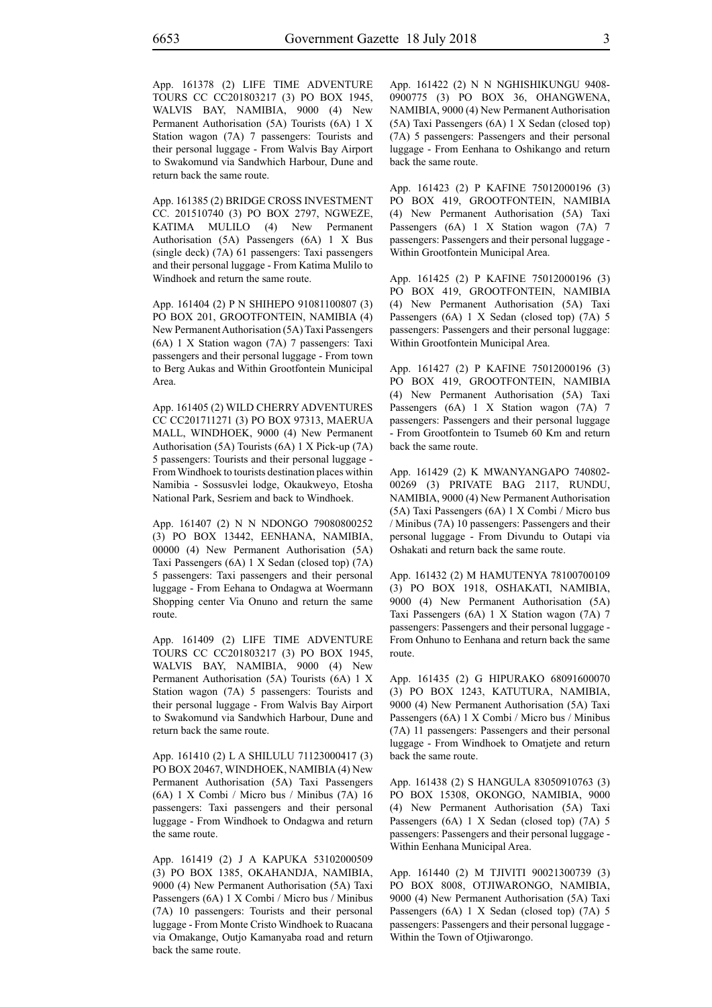App. 161378 (2) LIFE TIME ADVENTURE TOURS CC CC201803217 (3) PO BOX 1945, WALVIS BAY, NAMIBIA, 9000 (4) New Permanent Authorisation (5A) Tourists (6A) 1 X Station wagon (7A) 7 passengers: Tourists and their personal luggage - From Walvis Bay Airport to Swakomund via Sandwhich Harbour, Dune and return back the same route.

App. 161385 (2) BRIDGE CROSS INVESTMENT CC. 201510740 (3) PO BOX 2797, NGWEZE, KATIMA MULILO (4) New Permanent Authorisation (5A) Passengers (6A) 1 X Bus (single deck) (7A) 61 passengers: Taxi passengers and their personal luggage - From Katima Mulilo to Windhoek and return the same route.

App. 161404 (2) P N SHIHEPO 91081100807 (3) PO BOX 201, GROOTFONTEIN, NAMIBIA (4) New Permanent Authorisation (5A) Taxi Passengers (6A) 1 X Station wagon (7A) 7 passengers: Taxi passengers and their personal luggage - From town to Berg Aukas and Within Grootfontein Municipal Area.

App. 161405 (2) WILD CHERRY ADVENTURES CC CC201711271 (3) PO BOX 97313, MAERUA MALL, WINDHOEK, 9000 (4) New Permanent Authorisation (5A) Tourists (6A) 1 X Pick-up (7A) 5 passengers: Tourists and their personal luggage - From Windhoek to tourists destination places within Namibia - Sossusvlei lodge, Okaukweyo, Etosha National Park, Sesriem and back to Windhoek.

App. 161407 (2) N N NDONGO 79080800252 (3) PO BOX 13442, EENHANA, NAMIBIA, 00000 (4) New Permanent Authorisation (5A) Taxi Passengers (6A) 1 X Sedan (closed top) (7A) 5 passengers: Taxi passengers and their personal luggage - From Eehana to Ondagwa at Woermann Shopping center Via Onuno and return the same route.

App. 161409 (2) LIFE TIME ADVENTURE TOURS CC CC201803217 (3) PO BOX 1945, WALVIS BAY, NAMIBIA, 9000 (4) New Permanent Authorisation (5A) Tourists (6A) 1 X Station wagon (7A) 5 passengers: Tourists and their personal luggage - From Walvis Bay Airport to Swakomund via Sandwhich Harbour, Dune and return back the same route.

App. 161410 (2) L A SHILULU 71123000417 (3) PO BOX 20467, WINDHOEK, NAMIBIA (4) New Permanent Authorisation (5A) Taxi Passengers (6A) 1 X Combi / Micro bus / Minibus (7A) 16 passengers: Taxi passengers and their personal luggage - From Windhoek to Ondagwa and return the same route.

App. 161419 (2) J A KAPUKA 53102000509 (3) PO BOX 1385, OKAHANDJA, NAMIBIA, 9000 (4) New Permanent Authorisation (5A) Taxi Passengers (6A) 1 X Combi / Micro bus / Minibus (7A) 10 passengers: Tourists and their personal luggage - From Monte Cristo Windhoek to Ruacana via Omakange, Outjo Kamanyaba road and return back the same route.

App. 161422 (2) N N NGHISHIKUNGU 9408- 0900775 (3) PO BOX 36, OHANGWENA, NAMIBIA, 9000 (4) New Permanent Authorisation (5A) Taxi Passengers (6A) 1 X Sedan (closed top) (7A) 5 passengers: Passengers and their personal luggage - From Eenhana to Oshikango and return back the same route.

App. 161423 (2) P KAFINE 75012000196 (3) PO BOX 419, GROOTFONTEIN, NAMIBIA (4) New Permanent Authorisation (5A) Taxi Passengers (6A) 1 X Station wagon (7A) 7 passengers: Passengers and their personal luggage - Within Grootfontein Municipal Area.

App. 161425 (2) P KAFINE 75012000196 (3) PO BOX 419, GROOTFONTEIN, NAMIBIA (4) New Permanent Authorisation (5A) Taxi Passengers (6A) 1 X Sedan (closed top) (7A) 5 passengers: Passengers and their personal luggage: Within Grootfontein Municipal Area.

App. 161427 (2) P KAFINE 75012000196 (3) PO BOX 419, GROOTFONTEIN, NAMIBIA (4) New Permanent Authorisation (5A) Taxi Passengers (6A) 1 X Station wagon (7A) 7 passengers: Passengers and their personal luggage - From Grootfontein to Tsumeb 60 Km and return back the same route.

App. 161429 (2) K MWANYANGAPO 740802- 00269 (3) PRIVATE BAG 2117, RUNDU, NAMIBIA, 9000 (4) New Permanent Authorisation (5A) Taxi Passengers (6A) 1 X Combi / Micro bus / Minibus (7A) 10 passengers: Passengers and their personal luggage - From Divundu to Outapi via Oshakati and return back the same route.

App. 161432 (2) M HAMUTENYA 78100700109 (3) PO BOX 1918, OSHAKATI, NAMIBIA, 9000 (4) New Permanent Authorisation (5A) Taxi Passengers (6A) 1 X Station wagon (7A) 7 passengers: Passengers and their personal luggage - From Onhuno to Eenhana and return back the same route.

App. 161435 (2) G HIPURAKO 68091600070 (3) PO BOX 1243, KATUTURA, NAMIBIA, 9000 (4) New Permanent Authorisation (5A) Taxi Passengers (6A) 1 X Combi / Micro bus / Minibus (7A) 11 passengers: Passengers and their personal luggage - From Windhoek to Omatjete and return back the same route.

App. 161438 (2) S HANGULA 83050910763 (3) PO BOX 15308, OKONGO, NAMIBIA, 9000 (4) New Permanent Authorisation (5A) Taxi Passengers (6A) 1 X Sedan (closed top) (7A) 5 passengers: Passengers and their personal luggage - Within Eenhana Municipal Area.

App. 161440 (2) M TJIVITI 90021300739 (3) PO BOX 8008, OTJIWARONGO, NAMIBIA, 9000 (4) New Permanent Authorisation (5A) Taxi Passengers (6A) 1 X Sedan (closed top) (7A) 5 passengers: Passengers and their personal luggage - Within the Town of Otjiwarongo.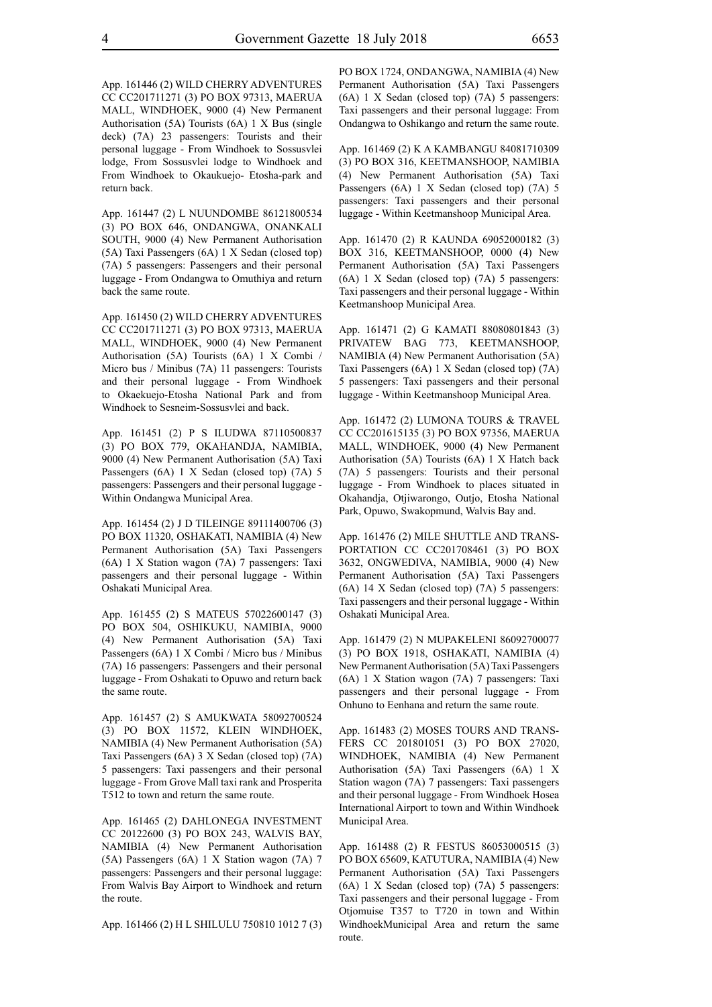App. 161446 (2) WILD CHERRY ADVENTURES CC CC201711271 (3) PO BOX 97313, MAERUA MALL, WINDHOEK, 9000 (4) New Permanent Authorisation (5A) Tourists (6A) 1 X Bus (single deck) (7A) 23 passengers: Tourists and their personal luggage - From Windhoek to Sossusvlei lodge, From Sossusvlei lodge to Windhoek and From Windhoek to Okaukuejo- Etosha-park and return back.

App. 161447 (2) L NUUNDOMBE 86121800534 (3) PO BOX 646, ONDANGWA, ONANKALI SOUTH, 9000 (4) New Permanent Authorisation (5A) Taxi Passengers (6A) 1 X Sedan (closed top) (7A) 5 passengers: Passengers and their personal luggage - From Ondangwa to Omuthiya and return back the same route.

App. 161450 (2) WILD CHERRY ADVENTURES CC CC201711271 (3) PO BOX 97313, MAERUA MALL, WINDHOEK, 9000 (4) New Permanent Authorisation (5A) Tourists (6A) 1 X Combi / Micro bus / Minibus (7A) 11 passengers: Tourists and their personal luggage - From Windhoek to Okaekuejo-Etosha National Park and from Windhoek to Sesneim-Sossusvlei and back.

App. 161451 (2) P S ILUDWA 87110500837 (3) PO BOX 779, OKAHANDJA, NAMIBIA, 9000 (4) New Permanent Authorisation (5A) Taxi Passengers (6A) 1 X Sedan (closed top) (7A) 5 passengers: Passengers and their personal luggage - Within Ondangwa Municipal Area.

App. 161454 (2) J D TILEINGE 89111400706 (3) PO BOX 11320, OSHAKATI, NAMIBIA (4) New Permanent Authorisation (5A) Taxi Passengers (6A) 1 X Station wagon (7A) 7 passengers: Taxi passengers and their personal luggage - Within Oshakati Municipal Area.

App. 161455 (2) S MATEUS 57022600147 (3) PO BOX 504, OSHIKUKU, NAMIBIA, 9000 (4) New Permanent Authorisation (5A) Taxi Passengers (6A) 1 X Combi / Micro bus / Minibus (7A) 16 passengers: Passengers and their personal luggage - From Oshakati to Opuwo and return back the same route.

App. 161457 (2) S AMUKWATA 58092700524 (3) PO BOX 11572, KLEIN WINDHOEK, NAMIBIA (4) New Permanent Authorisation (5A) Taxi Passengers (6A) 3 X Sedan (closed top) (7A) 5 passengers: Taxi passengers and their personal luggage - From Grove Mall taxi rank and Prosperita T512 to town and return the same route.

App. 161465 (2) DAHLONEGA INVESTMENT CC 20122600 (3) PO BOX 243, WALVIS BAY, NAMIBIA (4) New Permanent Authorisation (5A) Passengers (6A) 1 X Station wagon (7A) 7 passengers: Passengers and their personal luggage: From Walvis Bay Airport to Windhoek and return the route.

App. 161466 (2) H L SHILULU 750810 1012 7 (3)

PO BOX 1724, ONDANGWA, NAMIBIA (4) New Permanent Authorisation (5A) Taxi Passengers (6A) 1 X Sedan (closed top) (7A) 5 passengers: Taxi passengers and their personal luggage: From Ondangwa to Oshikango and return the same route.

App. 161469 (2) K A KAMBANGU 84081710309 (3) PO BOX 316, KEETMANSHOOP, NAMIBIA (4) New Permanent Authorisation (5A) Taxi Passengers (6A) 1 X Sedan (closed top) (7A) 5 passengers: Taxi passengers and their personal luggage - Within Keetmanshoop Municipal Area.

App. 161470 (2) R KAUNDA 69052000182 (3) BOX 316, KEETMANSHOOP, 0000 (4) New Permanent Authorisation (5A) Taxi Passengers (6A) 1 X Sedan (closed top) (7A) 5 passengers: Taxi passengers and their personal luggage - Within Keetmanshoop Municipal Area.

App. 161471 (2) G KAMATI 88080801843 (3) PRIVATEW BAG 773, KEETMANSHOOP, NAMIBIA (4) New Permanent Authorisation (5A) Taxi Passengers (6A) 1 X Sedan (closed top) (7A) 5 passengers: Taxi passengers and their personal luggage - Within Keetmanshoop Municipal Area.

App. 161472 (2) LUMONA TOURS & TRAVEL CC CC201615135 (3) PO BOX 97356, MAERUA MALL, WINDHOEK, 9000 (4) New Permanent Authorisation (5A) Tourists (6A) 1 X Hatch back (7A) 5 passengers: Tourists and their personal luggage - From Windhoek to places situated in Okahandja, Otjiwarongo, Outjo, Etosha National Park, Opuwo, Swakopmund, Walvis Bay and.

App. 161476 (2) MILE SHUTTLE AND TRANS-PORTATION CC CC201708461 (3) PO BOX 3632, ONGWEDIVA, NAMIBIA, 9000 (4) New Permanent Authorisation (5A) Taxi Passengers (6A) 14 X Sedan (closed top) (7A) 5 passengers: Taxi passengers and their personal luggage - Within Oshakati Municipal Area.

App. 161479 (2) N MUPAKELENI 86092700077 (3) PO BOX 1918, OSHAKATI, NAMIBIA (4) New Permanent Authorisation (5A) Taxi Passengers (6A) 1 X Station wagon (7A) 7 passengers: Taxi passengers and their personal luggage - From Onhuno to Eenhana and return the same route.

App. 161483 (2) MOSES TOURS AND TRANS-FERS CC 201801051 (3) PO BOX 27020, WINDHOEK, NAMIBIA (4) New Permanent Authorisation (5A) Taxi Passengers (6A) 1 X Station wagon (7A) 7 passengers: Taxi passengers and their personal luggage - From Windhoek Hosea International Airport to town and Within Windhoek Municipal Area.

App. 161488 (2) R FESTUS 86053000515 (3) PO BOX 65609, KATUTURA, NAMIBIA (4) New Permanent Authorisation (5A) Taxi Passengers (6A) 1 X Sedan (closed top) (7A) 5 passengers: Taxi passengers and their personal luggage - From Otjomuise T357 to T720 in town and Within WindhoekMunicipal Area and return the same route.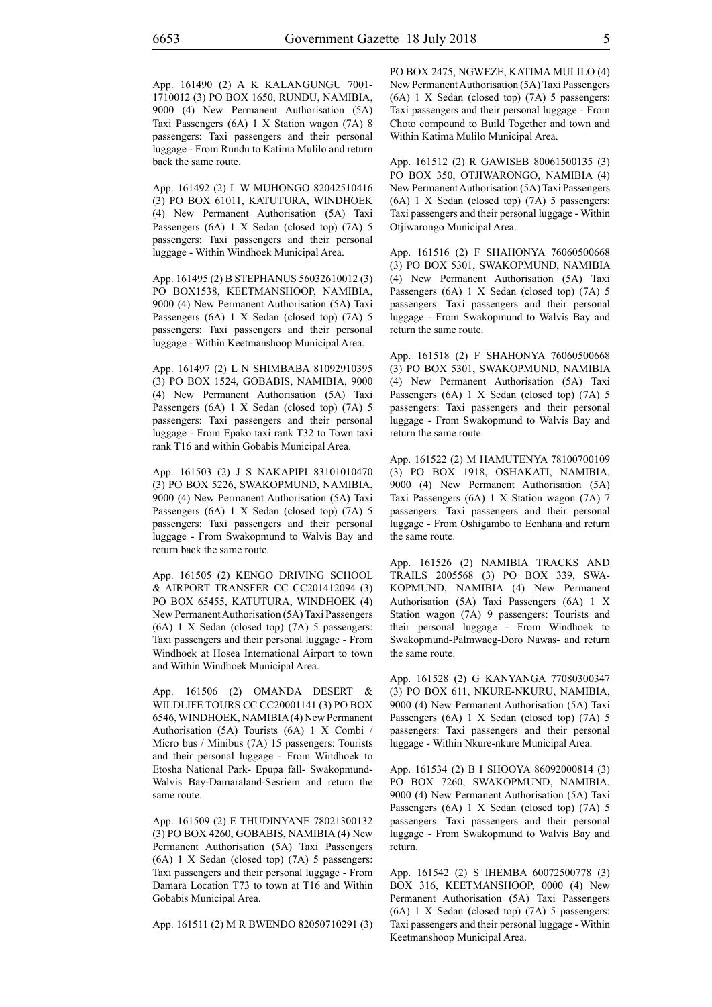App. 161490 (2) A K KALANGUNGU 7001- 1710012 (3) PO BOX 1650, RUNDU, NAMIBIA, 9000 (4) New Permanent Authorisation (5A) Taxi Passengers (6A) 1 X Station wagon (7A) 8 passengers: Taxi passengers and their personal luggage - From Rundu to Katima Mulilo and return back the same route.

App. 161492 (2) L W MUHONGO 82042510416 (3) PO BOX 61011, KATUTURA, WINDHOEK (4) New Permanent Authorisation (5A) Taxi Passengers (6A) 1 X Sedan (closed top) (7A) 5 passengers: Taxi passengers and their personal luggage - Within Windhoek Municipal Area.

App. 161495 (2) B STEPHANUS 56032610012 (3) PO BOX1538, KEETMANSHOOP, NAMIBIA, 9000 (4) New Permanent Authorisation (5A) Taxi Passengers (6A) 1 X Sedan (closed top) (7A) 5 passengers: Taxi passengers and their personal luggage - Within Keetmanshoop Municipal Area.

App. 161497 (2) L N SHIMBABA 81092910395 (3) PO BOX 1524, GOBABIS, NAMIBIA, 9000 (4) New Permanent Authorisation (5A) Taxi Passengers (6A) 1 X Sedan (closed top) (7A) 5 passengers: Taxi passengers and their personal luggage - From Epako taxi rank T32 to Town taxi rank T16 and within Gobabis Municipal Area.

App. 161503 (2) J S NAKAPIPI 83101010470 (3) PO BOX 5226, SWAKOPMUND, NAMIBIA, 9000 (4) New Permanent Authorisation (5A) Taxi Passengers (6A) 1 X Sedan (closed top) (7A) 5 passengers: Taxi passengers and their personal luggage - From Swakopmund to Walvis Bay and return back the same route.

App. 161505 (2) KENGO DRIVING SCHOOL & AIRPORT TRANSFER CC CC201412094 (3) PO BOX 65455, KATUTURA, WINDHOEK (4) New Permanent Authorisation (5A) Taxi Passengers (6A) 1 X Sedan (closed top) (7A) 5 passengers: Taxi passengers and their personal luggage - From Windhoek at Hosea International Airport to town and Within Windhoek Municipal Area.

App. 161506 (2) OMANDA DESERT & WILDLIFE TOURS CC CC20001141 (3) PO BOX 6546, WINDHOEK, NAMIBIA (4) New Permanent Authorisation (5A) Tourists (6A) 1 X Combi / Micro bus / Minibus (7A) 15 passengers: Tourists and their personal luggage - From Windhoek to Etosha National Park- Epupa fall- Swakopmund-Walvis Bay-Damaraland-Sesriem and return the same route.

App. 161509 (2) E THUDINYANE 78021300132 (3) PO BOX 4260, GOBABIS, NAMIBIA (4) New Permanent Authorisation (5A) Taxi Passengers (6A) 1 X Sedan (closed top) (7A) 5 passengers: Taxi passengers and their personal luggage - From Damara Location T73 to town at T16 and Within Gobabis Municipal Area.

App. 161511 (2) M R BWENDO 82050710291 (3)

PO BOX 2475, NGWEZE, KATIMA MULILO (4) New Permanent Authorisation (5A) Taxi Passengers (6A) 1 X Sedan (closed top) (7A) 5 passengers: Taxi passengers and their personal luggage - From Choto compound to Build Together and town and Within Katima Mulilo Municipal Area.

App. 161512 (2) R GAWISEB 80061500135 (3) PO BOX 350, OTJIWARONGO, NAMIBIA (4) New Permanent Authorisation (5A) Taxi Passengers (6A) 1 X Sedan (closed top) (7A) 5 passengers: Taxi passengers and their personal luggage - Within Otjiwarongo Municipal Area.

App. 161516 (2) F SHAHONYA 76060500668 (3) PO BOX 5301, SWAKOPMUND, NAMIBIA (4) New Permanent Authorisation (5A) Taxi Passengers (6A) 1 X Sedan (closed top) (7A) 5 passengers: Taxi passengers and their personal luggage - From Swakopmund to Walvis Bay and return the same route.

App. 161518 (2) F SHAHONYA 76060500668 (3) PO BOX 5301, SWAKOPMUND, NAMIBIA (4) New Permanent Authorisation (5A) Taxi Passengers (6A) 1 X Sedan (closed top) (7A) 5 passengers: Taxi passengers and their personal luggage - From Swakopmund to Walvis Bay and return the same route.

App. 161522 (2) M HAMUTENYA 78100700109 (3) PO BOX 1918, OSHAKATI, NAMIBIA, 9000 (4) New Permanent Authorisation (5A) Taxi Passengers (6A) 1 X Station wagon (7A) 7 passengers: Taxi passengers and their personal luggage - From Oshigambo to Eenhana and return the same route.

App. 161526 (2) NAMIBIA TRACKS AND TRAILS 2005568 (3) PO BOX 339, SWA-KOPMUND, NAMIBIA (4) New Permanent Authorisation (5A) Taxi Passengers (6A) 1 X Station wagon (7A) 9 passengers: Tourists and their personal luggage - From Windhoek to Swakopmund-Palmwaeg-Doro Nawas- and return the same route.

App. 161528 (2) G KANYANGA 77080300347 (3) PO BOX 611, NKURE-NKURU, NAMIBIA, 9000 (4) New Permanent Authorisation (5A) Taxi Passengers (6A) 1 X Sedan (closed top) (7A) 5 passengers: Taxi passengers and their personal luggage - Within Nkure-nkure Municipal Area.

App. 161534 (2) B I SHOOYA 86092000814 (3) PO BOX 7260, SWAKOPMUND, NAMIBIA, 9000 (4) New Permanent Authorisation (5A) Taxi Passengers (6A) 1 X Sedan (closed top) (7A) 5 passengers: Taxi passengers and their personal luggage - From Swakopmund to Walvis Bay and return.

App. 161542 (2) S IHEMBA 60072500778 (3) BOX 316, KEETMANSHOOP, 0000 (4) New Permanent Authorisation (5A) Taxi Passengers (6A) 1 X Sedan (closed top) (7A) 5 passengers: Taxi passengers and their personal luggage - Within Keetmanshoop Municipal Area.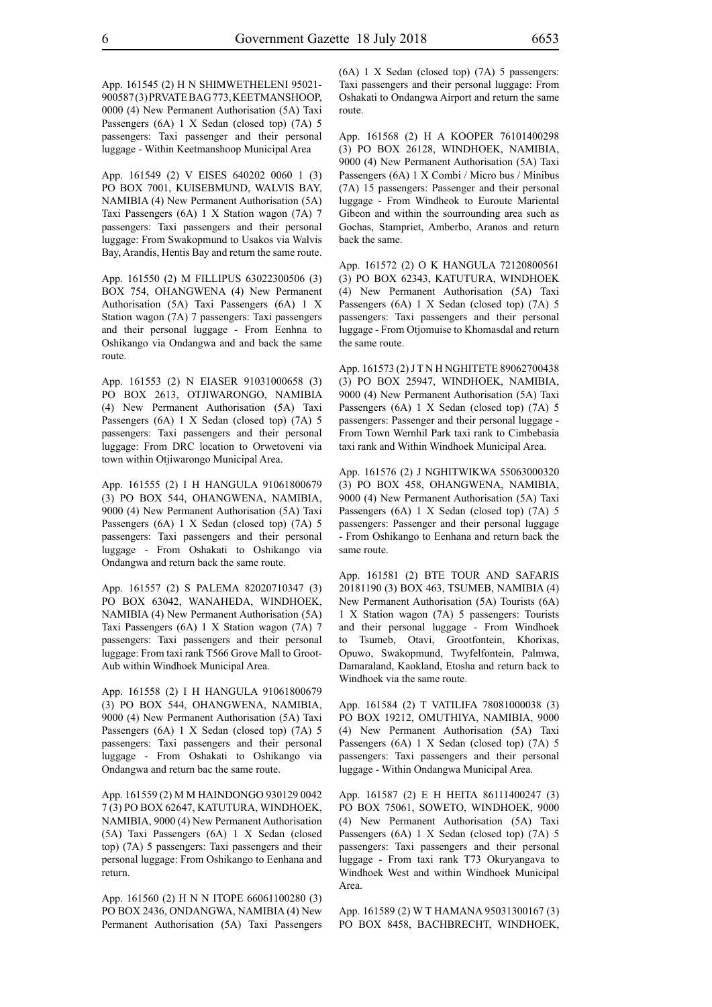App. 161545 (2) H N SHIMWETHELENI 95021- 900587 (3) PRVATE BAG 773, KEETMANSHOOP, 0000 (4) New Permanent Authorisation (5A) Taxi Passengers (6A) 1 X Sedan (closed top) (7A) 5 passengers: Taxi passenger and their personal luggage - Within Keetmanshoop Municipal Area

App. 161549 (2) V EISES 640202 0060 1 (3) PO BOX 7001, KUISEBMUND, WALVIS BAY, NAMIBIA (4) New Permanent Authorisation (5A) Taxi Passengers (6A) 1 X Station wagon (7A) 7 passengers: Taxi passengers and their personal luggage: From Swakopmund to Usakos via Walvis Bay, Arandis, Hentis Bay and return the same route.

App. 161550 (2) M FILLIPUS 63022300506 (3) BOX 754, OHANGWENA (4) New Permanent Authorisation (5A) Taxi Passengers (6A) 1 X Station wagon (7A) 7 passengers: Taxi passengers and their personal luggage - From Eenhna to Oshikango via Ondangwa and and back the same route.

App. 161553 (2) N EIASER 91031000658 (3) PO BOX 2613, OTJIWARONGO, NAMIBIA (4) New Permanent Authorisation (5A) Taxi Passengers (6A) 1 X Sedan (closed top) (7A) 5 passengers: Taxi passengers and their personal luggage: From DRC location to Orwetoveni via town within Otjiwarongo Municipal Area.

App. 161555 (2) I H HANGULA 91061800679 (3) PO BOX 544, OHANGWENA, NAMIBIA, 9000 (4) New Permanent Authorisation (5A) Taxi Passengers (6A) 1 X Sedan (closed top) (7A) 5 passengers: Taxi passengers and their personal luggage - From Oshakati to Oshikango via Ondangwa and return back the same route.

App. 161557 (2) S PALEMA 82020710347 (3) PO BOX 63042, WANAHEDA, WINDHOEK, NAMIBIA (4) New Permanent Authorisation (5A) Taxi Passengers (6A) 1 X Station wagon (7A) 7 passengers: Taxi passengers and their personal luggage: From taxi rank T566 Grove Mall to Groot-Aub within Windhoek Municipal Area.

App. 161558 (2) I H HANGULA 91061800679 (3) PO BOX 544, OHANGWENA, NAMIBIA, 9000 (4) New Permanent Authorisation (5A) Taxi Passengers (6A) 1 X Sedan (closed top) (7A) 5 passengers: Taxi passengers and their personal luggage - From Oshakati to Oshikango via Ondangwa and return bac the same route.

App. 161559 (2) M M HAINDONGO 930129 0042 7 (3) PO BOX 62647, KATUTURA, WINDHOEK, NAMIBIA, 9000 (4) New Permanent Authorisation (5A) Taxi Passengers (6A) 1 X Sedan (closed top) (7A) 5 passengers: Taxi passengers and their personal luggage: From Oshikango to Eenhana and return.

App. 161560 (2) H N N ITOPE 66061100280 (3) PO BOX 2436, ONDANGWA, NAMIBIA (4) New Permanent Authorisation (5A) Taxi Passengers (6A) 1 X Sedan (closed top) (7A) 5 passengers: Taxi passengers and their personal luggage: From Oshakati to Ondangwa Airport and return the same route.

App. 161568 (2) H A KOOPER 76101400298 (3) PO BOX 26128, WINDHOEK, NAMIBIA, 9000 (4) New Permanent Authorisation (5A) Taxi Passengers (6A) 1 X Combi / Micro bus / Minibus (7A) 15 passengers: Passenger and their personal luggage - From Windheok to Euroute Mariental Gibeon and within the sourrounding area such as Gochas, Stampriet, Amberbo, Aranos and return back the same.

App. 161572 (2) O K HANGULA 72120800561 (3) PO BOX 62343, KATUTURA, WINDHOEK (4) New Permanent Authorisation (5A) Taxi Passengers (6A) 1 X Sedan (closed top) (7A) 5 passengers: Taxi passengers and their personal luggage - From Otjomuise to Khomasdal and return the same route.

App. 161573 (2) J T N H NGHITETE 89062700438 (3) PO BOX 25947, WINDHOEK, NAMIBIA, 9000 (4) New Permanent Authorisation (5A) Taxi Passengers (6A) 1 X Sedan (closed top) (7A) 5 passengers: Passenger and their personal luggage - From Town Wernhil Park taxi rank to Cimbebasia taxi rank and Within Windhoek Municipal Area.

App. 161576 (2) J NGHITWIKWA 55063000320 (3) PO BOX 458, OHANGWENA, NAMIBIA, 9000 (4) New Permanent Authorisation (5A) Taxi Passengers (6A) 1 X Sedan (closed top) (7A) 5 passengers: Passenger and their personal luggage - From Oshikango to Eenhana and return back the same route.

App. 161581 (2) BTE TOUR AND SAFARIS 20181190 (3) BOX 463, TSUMEB, NAMIBIA (4) New Permanent Authorisation (5A) Tourists (6A) 1 X Station wagon (7A) 5 passengers: Tourists and their personal luggage - From Windhoek to Tsumeb, Otavi, Grootfontein, Khorixas, Opuwo, Swakopmund, Twyfelfontein, Palmwa, Damaraland, Kaokland, Etosha and return back to Windhoek via the same route.

App. 161584 (2) T VATILIFA 78081000038 (3) PO BOX 19212, OMUTHIYA, NAMIBIA, 9000 (4) New Permanent Authorisation (5A) Taxi Passengers (6A) 1 X Sedan (closed top) (7A) 5 passengers: Taxi passengers and their personal luggage - Within Ondangwa Municipal Area.

App. 161587 (2) E H HEITA 86111400247 (3) PO BOX 75061, SOWETO, WINDHOEK, 9000 (4) New Permanent Authorisation (5A) Taxi Passengers (6A) 1 X Sedan (closed top) (7A) 5 passengers: Taxi passengers and their personal luggage - From taxi rank T73 Okuryangava to Windhoek West and within Windhoek Municipal Area.

App. 161589 (2) W T HAMANA 95031300167 (3) PO BOX 8458, BACHBRECHT, WINDHOEK,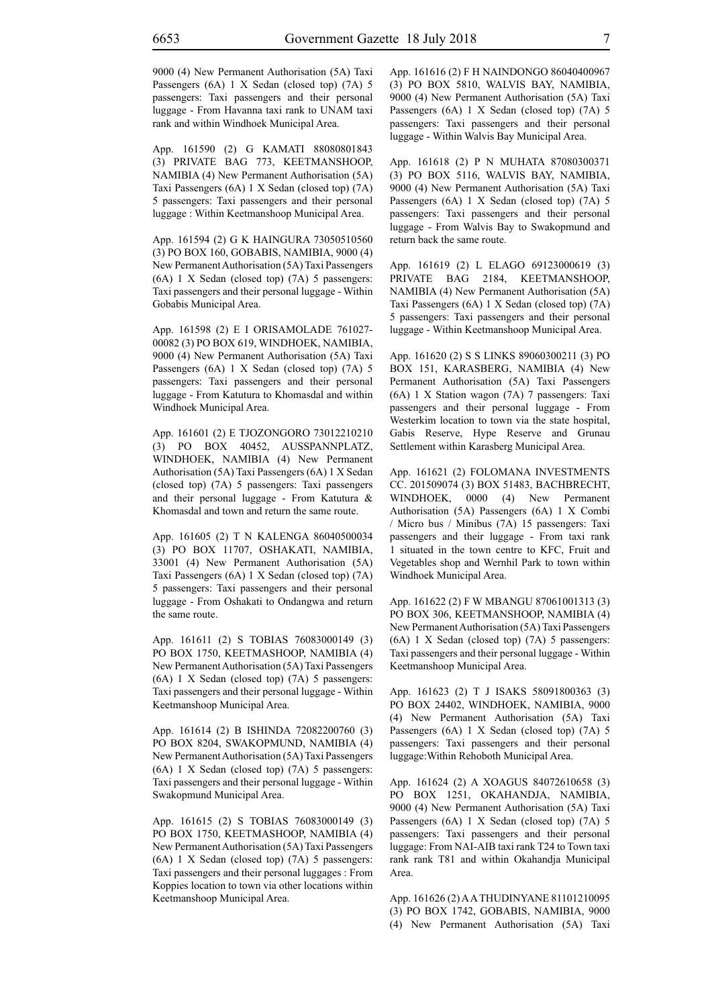9000 (4) New Permanent Authorisation (5A) Taxi Passengers (6A) 1 X Sedan (closed top) (7A) 5 passengers: Taxi passengers and their personal luggage - From Havanna taxi rank to UNAM taxi rank and within Windhoek Municipal Area.

App. 161590 (2) G KAMATI 88080801843 (3) PRIVATE BAG 773, KEETMANSHOOP, NAMIBIA (4) New Permanent Authorisation (5A) Taxi Passengers (6A) 1 X Sedan (closed top) (7A) 5 passengers: Taxi passengers and their personal luggage : Within Keetmanshoop Municipal Area.

App. 161594 (2) G K HAINGURA 73050510560 (3) PO BOX 160, GOBABIS, NAMIBIA, 9000 (4) New Permanent Authorisation (5A) Taxi Passengers (6A) 1 X Sedan (closed top) (7A) 5 passengers: Taxi passengers and their personal luggage - Within Gobabis Municipal Area.

App. 161598 (2) E I ORISAMOLADE 761027- 00082 (3) PO BOX 619, WINDHOEK, NAMIBIA, 9000 (4) New Permanent Authorisation (5A) Taxi Passengers (6A) 1 X Sedan (closed top) (7A) 5 passengers: Taxi passengers and their personal luggage - From Katutura to Khomasdal and within Windhoek Municipal Area.

App. 161601 (2) E TJOZONGORO 73012210210 (3) PO BOX 40452, AUSSPANNPLATZ, WINDHOEK, NAMIBIA (4) New Permanent Authorisation (5A) Taxi Passengers (6A) 1 X Sedan (closed top) (7A) 5 passengers: Taxi passengers and their personal luggage - From Katutura & Khomasdal and town and return the same route.

App. 161605 (2) T N KALENGA 86040500034 (3) PO BOX 11707, OSHAKATI, NAMIBIA, 33001 (4) New Permanent Authorisation (5A) Taxi Passengers (6A) 1 X Sedan (closed top) (7A) 5 passengers: Taxi passengers and their personal luggage - From Oshakati to Ondangwa and return the same route.

App. 161611 (2) S TOBIAS 76083000149 (3) PO BOX 1750, KEETMASHOOP, NAMIBIA (4) New Permanent Authorisation (5A) Taxi Passengers (6A) 1 X Sedan (closed top) (7A) 5 passengers: Taxi passengers and their personal luggage - Within Keetmanshoop Municipal Area.

App. 161614 (2) B ISHINDA 72082200760 (3) PO BOX 8204, SWAKOPMUND, NAMIBIA (4) New Permanent Authorisation (5A) Taxi Passengers (6A) 1 X Sedan (closed top) (7A) 5 passengers: Taxi passengers and their personal luggage - Within Swakopmund Municipal Area.

App. 161615 (2) S TOBIAS 76083000149 (3) PO BOX 1750, KEETMASHOOP, NAMIBIA (4) New Permanent Authorisation (5A) Taxi Passengers (6A) 1 X Sedan (closed top) (7A) 5 passengers: Taxi passengers and their personal luggages : From Koppies location to town via other locations within Keetmanshoop Municipal Area.

App. 161616 (2) F H NAINDONGO 86040400967 (3) PO BOX 5810, WALVIS BAY, NAMIBIA, 9000 (4) New Permanent Authorisation (5A) Taxi Passengers (6A) 1 X Sedan (closed top) (7A) 5 passengers: Taxi passengers and their personal luggage - Within Walvis Bay Municipal Area.

App. 161618 (2) P N MUHATA 87080300371 (3) PO BOX 5116, WALVIS BAY, NAMIBIA, 9000 (4) New Permanent Authorisation (5A) Taxi Passengers (6A) 1 X Sedan (closed top) (7A) 5 passengers: Taxi passengers and their personal luggage - From Walvis Bay to Swakopmund and return back the same route.

App. 161619 (2) L ELAGO 69123000619 (3) PRIVATE BAG 2184, KEETMANSHOOP, NAMIBIA (4) New Permanent Authorisation (5A) Taxi Passengers (6A) 1 X Sedan (closed top) (7A) 5 passengers: Taxi passengers and their personal luggage - Within Keetmanshoop Municipal Area.

App. 161620 (2) S S LINKS 89060300211 (3) PO BOX 151, KARASBERG, NAMIBIA (4) New Permanent Authorisation (5A) Taxi Passengers (6A) 1 X Station wagon (7A) 7 passengers: Taxi passengers and their personal luggage - From Westerkim location to town via the state hospital, Gabis Reserve, Hype Reserve and Grunau Settlement within Karasberg Municipal Area.

App. 161621 (2) FOLOMANA INVESTMENTS CC. 201509074 (3) BOX 51483, BACHBRECHT, WINDHOEK, 0000 (4) New Permanent Authorisation (5A) Passengers (6A) 1 X Combi / Micro bus / Minibus (7A) 15 passengers: Taxi passengers and their luggage - From taxi rank 1 situated in the town centre to KFC, Fruit and Vegetables shop and Wernhil Park to town within Windhoek Municipal Area.

App. 161622 (2) F W MBANGU 87061001313 (3) PO BOX 306, KEETMANSHOOP, NAMIBIA (4) New Permanent Authorisation (5A) Taxi Passengers (6A) 1 X Sedan (closed top) (7A) 5 passengers: Taxi passengers and their personal luggage - Within Keetmanshoop Municipal Area.

App. 161623 (2) T J ISAKS 58091800363 (3) PO BOX 24402, WINDHOEK, NAMIBIA, 9000 (4) New Permanent Authorisation (5A) Taxi Passengers (6A) 1 X Sedan (closed top) (7A) 5 passengers: Taxi passengers and their personal luggage:Within Rehoboth Municipal Area.

App. 161624 (2) A XOAGUS 84072610658 (3) PO BOX 1251, OKAHANDJA, NAMIBIA, 9000 (4) New Permanent Authorisation (5A) Taxi Passengers (6A) 1 X Sedan (closed top) (7A) 5 passengers: Taxi passengers and their personal luggage: From NAI-AIB taxi rank T24 to Town taxi rank rank T81 and within Okahandja Municipal Area.

App. 161626 (2) A A THUDINYANE 81101210095 (3) PO BOX 1742, GOBABIS, NAMIBIA, 9000 (4) New Permanent Authorisation (5A) Taxi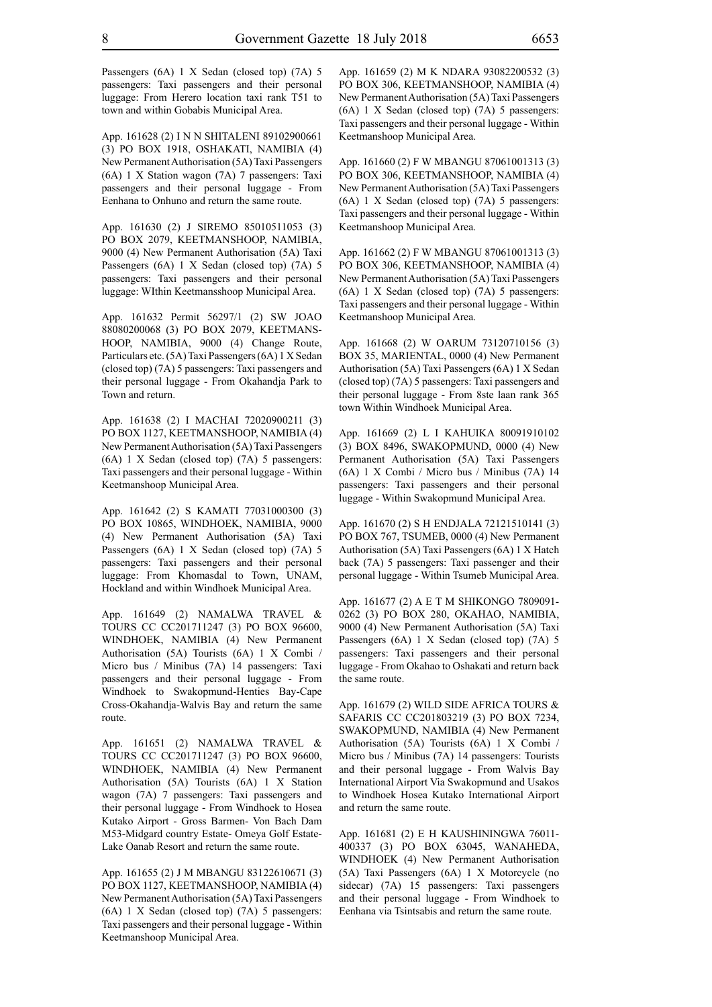Passengers (6A) 1 X Sedan (closed top) (7A) 5 passengers: Taxi passengers and their personal luggage: From Herero location taxi rank T51 to town and within Gobabis Municipal Area.

App. 161628 (2) I N N SHITALENI 89102900661 (3) PO BOX 1918, OSHAKATI, NAMIBIA (4) New Permanent Authorisation (5A) Taxi Passengers (6A) 1 X Station wagon (7A) 7 passengers: Taxi passengers and their personal luggage - From Eenhana to Onhuno and return the same route.

App. 161630 (2) J SIREMO 85010511053 (3) PO BOX 2079, KEETMANSHOOP, NAMIBIA, 9000 (4) New Permanent Authorisation (5A) Taxi Passengers (6A) 1 X Sedan (closed top) (7A) 5 passengers: Taxi passengers and their personal luggage: WIthin Keetmansshoop Municipal Area.

App. 161632 Permit 56297/1 (2) SW JOAO 88080200068 (3) PO BOX 2079, KEETMANS-HOOP, NAMIBIA, 9000 (4) Change Route, Particulars etc. (5A) Taxi Passengers (6A) 1 X Sedan (closed top) (7A) 5 passengers: Taxi passengers and their personal luggage - From Okahandja Park to Town and return.

App. 161638 (2) I MACHAI 72020900211 (3) PO BOX 1127, KEETMANSHOOP, NAMIBIA (4) New Permanent Authorisation (5A) Taxi Passengers (6A) 1 X Sedan (closed top) (7A) 5 passengers: Taxi passengers and their personal luggage - Within Keetmanshoop Municipal Area.

App. 161642 (2) S KAMATI 77031000300 (3) PO BOX 10865, WINDHOEK, NAMIBIA, 9000 (4) New Permanent Authorisation (5A) Taxi Passengers (6A) 1 X Sedan (closed top) (7A) 5 passengers: Taxi passengers and their personal luggage: From Khomasdal to Town, UNAM, Hockland and within Windhoek Municipal Area.

App. 161649 (2) NAMALWA TRAVEL & TOURS CC CC201711247 (3) PO BOX 96600, WINDHOEK, NAMIBIA (4) New Permanent Authorisation (5A) Tourists (6A) 1 X Combi / Micro bus / Minibus (7A) 14 passengers: Taxi passengers and their personal luggage - From Windhoek to Swakopmund-Henties Bay-Cape Cross-Okahandja-Walvis Bay and return the same route.

App. 161651 (2) NAMALWA TRAVEL & TOURS CC CC201711247 (3) PO BOX 96600, WINDHOEK, NAMIBIA (4) New Permanent Authorisation (5A) Tourists (6A) 1 X Station wagon (7A) 7 passengers: Taxi passengers and their personal luggage - From Windhoek to Hosea Kutako Airport - Gross Barmen- Von Bach Dam M53-Midgard country Estate- Omeya Golf Estate-Lake Oanab Resort and return the same route.

App. 161655 (2) J M MBANGU 83122610671 (3) PO BOX 1127, KEETMANSHOOP, NAMIBIA (4) New Permanent Authorisation (5A) Taxi Passengers (6A) 1 X Sedan (closed top) (7A) 5 passengers: Taxi passengers and their personal luggage - Within Keetmanshoop Municipal Area.

App. 161659 (2) M K NDARA 93082200532 (3) PO BOX 306, KEETMANSHOOP, NAMIBIA (4) New Permanent Authorisation (5A) Taxi Passengers (6A) 1 X Sedan (closed top) (7A) 5 passengers: Taxi passengers and their personal luggage - Within Keetmanshoop Municipal Area.

App. 161660 (2) F W MBANGU 87061001313 (3) PO BOX 306, KEETMANSHOOP, NAMIBIA (4) New Permanent Authorisation (5A) Taxi Passengers (6A) 1 X Sedan (closed top) (7A) 5 passengers: Taxi passengers and their personal luggage - Within Keetmanshoop Municipal Area.

App. 161662 (2) F W MBANGU 87061001313 (3) PO BOX 306, KEETMANSHOOP, NAMIBIA (4) New Permanent Authorisation (5A) Taxi Passengers (6A) 1 X Sedan (closed top) (7A) 5 passengers: Taxi passengers and their personal luggage - Within Keetmanshoop Municipal Area.

App. 161668 (2) W OARUM 73120710156 (3) BOX 35, MARIENTAL, 0000 (4) New Permanent Authorisation (5A) Taxi Passengers (6A) 1 X Sedan (closed top) (7A) 5 passengers: Taxi passengers and their personal luggage - From 8ste laan rank 365 town Within Windhoek Municipal Area.

App. 161669 (2) L I KAHUIKA 80091910102 (3) BOX 8496, SWAKOPMUND, 0000 (4) New Permanent Authorisation (5A) Taxi Passengers (6A) 1 X Combi / Micro bus / Minibus (7A) 14 passengers: Taxi passengers and their personal luggage - Within Swakopmund Municipal Area.

App. 161670 (2) S H ENDJALA 72121510141 (3) PO BOX 767, TSUMEB, 0000 (4) New Permanent Authorisation (5A) Taxi Passengers (6A) 1 X Hatch back (7A) 5 passengers: Taxi passenger and their personal luggage - Within Tsumeb Municipal Area.

App. 161677 (2) A E T M SHIKONGO 7809091- 0262 (3) PO BOX 280, OKAHAO, NAMIBIA, 9000 (4) New Permanent Authorisation (5A) Taxi Passengers (6A) 1 X Sedan (closed top) (7A) 5 passengers: Taxi passengers and their personal luggage - From Okahao to Oshakati and return back the same route.

App. 161679 (2) WILD SIDE AFRICA TOURS & SAFARIS CC CC201803219 (3) PO BOX 7234, SWAKOPMUND, NAMIBIA (4) New Permanent Authorisation (5A) Tourists (6A) 1 X Combi / Micro bus / Minibus (7A) 14 passengers: Tourists and their personal luggage - From Walvis Bay International Airport Via Swakopmund and Usakos to Windhoek Hosea Kutako International Airport and return the same route.

App. 161681 (2) E H KAUSHININGWA 76011- 400337 (3) PO BOX 63045, WANAHEDA, WINDHOEK (4) New Permanent Authorisation (5A) Taxi Passengers (6A) 1 X Motorcycle (no sidecar) (7A) 15 passengers: Taxi passengers and their personal luggage - From Windhoek to Eenhana via Tsintsabis and return the same route.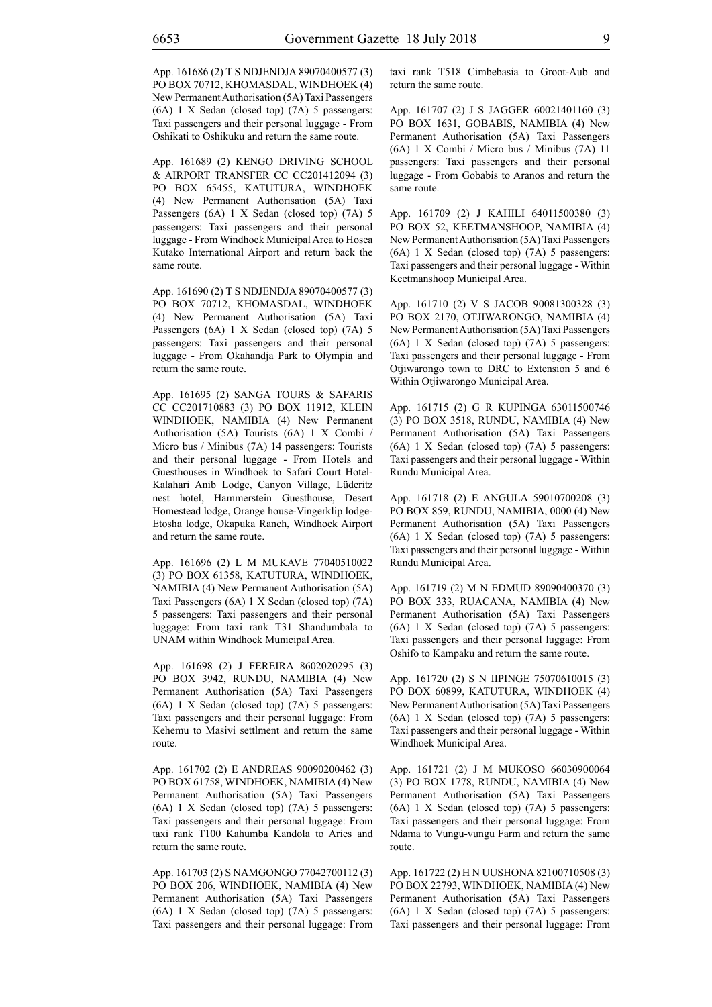App. 161686 (2) T S NDJENDJA 89070400577 (3) PO BOX 70712, KHOMASDAL, WINDHOEK (4) New Permanent Authorisation (5A) Taxi Passengers (6A) 1 X Sedan (closed top) (7A) 5 passengers: Taxi passengers and their personal luggage - From Oshikati to Oshikuku and return the same route.

App. 161689 (2) KENGO DRIVING SCHOOL & AIRPORT TRANSFER CC CC201412094 (3) PO BOX 65455, KATUTURA, WINDHOEK (4) New Permanent Authorisation (5A) Taxi Passengers (6A) 1 X Sedan (closed top) (7A) 5 passengers: Taxi passengers and their personal luggage - From Windhoek Municipal Area to Hosea Kutako International Airport and return back the same route.

App. 161690 (2) T S NDJENDJA 89070400577 (3) PO BOX 70712, KHOMASDAL, WINDHOEK (4) New Permanent Authorisation (5A) Taxi Passengers (6A) 1 X Sedan (closed top) (7A) 5 passengers: Taxi passengers and their personal luggage - From Okahandja Park to Olympia and return the same route.

App. 161695 (2) SANGA TOURS & SAFARIS CC CC201710883 (3) PO BOX 11912, KLEIN WINDHOEK, NAMIBIA (4) New Permanent Authorisation (5A) Tourists (6A) 1 X Combi / Micro bus / Minibus (7A) 14 passengers: Tourists and their personal luggage - From Hotels and Guesthouses in Windhoek to Safari Court Hotel-Kalahari Anib Lodge, Canyon Village, Lüderitz nest hotel, Hammerstein Guesthouse, Desert Homestead lodge, Orange house-Vingerklip lodge-Etosha lodge, Okapuka Ranch, Windhoek Airport and return the same route.

App. 161696 (2) L M MUKAVE 77040510022 (3) PO BOX 61358, KATUTURA, WINDHOEK, NAMIBIA (4) New Permanent Authorisation (5A) Taxi Passengers (6A) 1 X Sedan (closed top) (7A) 5 passengers: Taxi passengers and their personal luggage: From taxi rank T31 Shandumbala to UNAM within Windhoek Municipal Area.

App. 161698 (2) J FEREIRA 8602020295 (3) PO BOX 3942, RUNDU, NAMIBIA (4) New Permanent Authorisation (5A) Taxi Passengers (6A) 1 X Sedan (closed top) (7A) 5 passengers: Taxi passengers and their personal luggage: From Kehemu to Masivi settlment and return the same route.

App. 161702 (2) E ANDREAS 90090200462 (3) PO BOX 61758, WINDHOEK, NAMIBIA (4) New Permanent Authorisation (5A) Taxi Passengers (6A) 1 X Sedan (closed top) (7A) 5 passengers: Taxi passengers and their personal luggage: From taxi rank T100 Kahumba Kandola to Aries and return the same route.

App. 161703 (2) S NAMGONGO 77042700112 (3) PO BOX 206, WINDHOEK, NAMIBIA (4) New Permanent Authorisation (5A) Taxi Passengers (6A) 1 X Sedan (closed top) (7A) 5 passengers: Taxi passengers and their personal luggage: From taxi rank T518 Cimbebasia to Groot-Aub and return the same route.

App. 161707 (2) J S JAGGER 60021401160 (3) PO BOX 1631, GOBABIS, NAMIBIA (4) New Permanent Authorisation (5A) Taxi Passengers (6A) 1 X Combi / Micro bus / Minibus (7A) 11 passengers: Taxi passengers and their personal luggage - From Gobabis to Aranos and return the same route.

App. 161709 (2) J KAHILI 64011500380 (3) PO BOX 52, KEETMANSHOOP, NAMIBIA (4) New Permanent Authorisation (5A) Taxi Passengers (6A) 1 X Sedan (closed top) (7A) 5 passengers: Taxi passengers and their personal luggage - Within Keetmanshoop Municipal Area.

App. 161710 (2) V S JACOB 90081300328 (3) PO BOX 2170, OTJIWARONGO, NAMIBIA (4) New Permanent Authorisation (5A) Taxi Passengers (6A) 1 X Sedan (closed top) (7A) 5 passengers: Taxi passengers and their personal luggage - From Otjiwarongo town to DRC to Extension 5 and 6 Within Otjiwarongo Municipal Area.

App. 161715 (2) G R KUPINGA 63011500746 (3) PO BOX 3518, RUNDU, NAMIBIA (4) New Permanent Authorisation (5A) Taxi Passengers (6A) 1 X Sedan (closed top) (7A) 5 passengers: Taxi passengers and their personal luggage - Within Rundu Municipal Area.

App. 161718 (2) E ANGULA 59010700208 (3) PO BOX 859, RUNDU, NAMIBIA, 0000 (4) New Permanent Authorisation (5A) Taxi Passengers (6A) 1 X Sedan (closed top) (7A) 5 passengers: Taxi passengers and their personal luggage - Within Rundu Municipal Area.

App. 161719 (2) M N EDMUD 89090400370 (3) PO BOX 333, RUACANA, NAMIBIA (4) New Permanent Authorisation (5A) Taxi Passengers (6A) 1 X Sedan (closed top) (7A) 5 passengers: Taxi passengers and their personal luggage: From Oshifo to Kampaku and return the same route.

App. 161720 (2) S N IIPINGE 75070610015 (3) PO BOX 60899, KATUTURA, WINDHOEK (4) New Permanent Authorisation (5A) Taxi Passengers (6A) 1 X Sedan (closed top) (7A) 5 passengers: Taxi passengers and their personal luggage - Within Windhoek Municipal Area.

App. 161721 (2) J M MUKOSO 66030900064 (3) PO BOX 1778, RUNDU, NAMIBIA (4) New Permanent Authorisation (5A) Taxi Passengers (6A) 1 X Sedan (closed top) (7A) 5 passengers: Taxi passengers and their personal luggage: From Ndama to Vungu-vungu Farm and return the same route.

App. 161722 (2) H N UUSHONA 82100710508 (3) PO BOX 22793, WINDHOEK, NAMIBIA (4) New Permanent Authorisation (5A) Taxi Passengers (6A) 1 X Sedan (closed top) (7A) 5 passengers: Taxi passengers and their personal luggage: From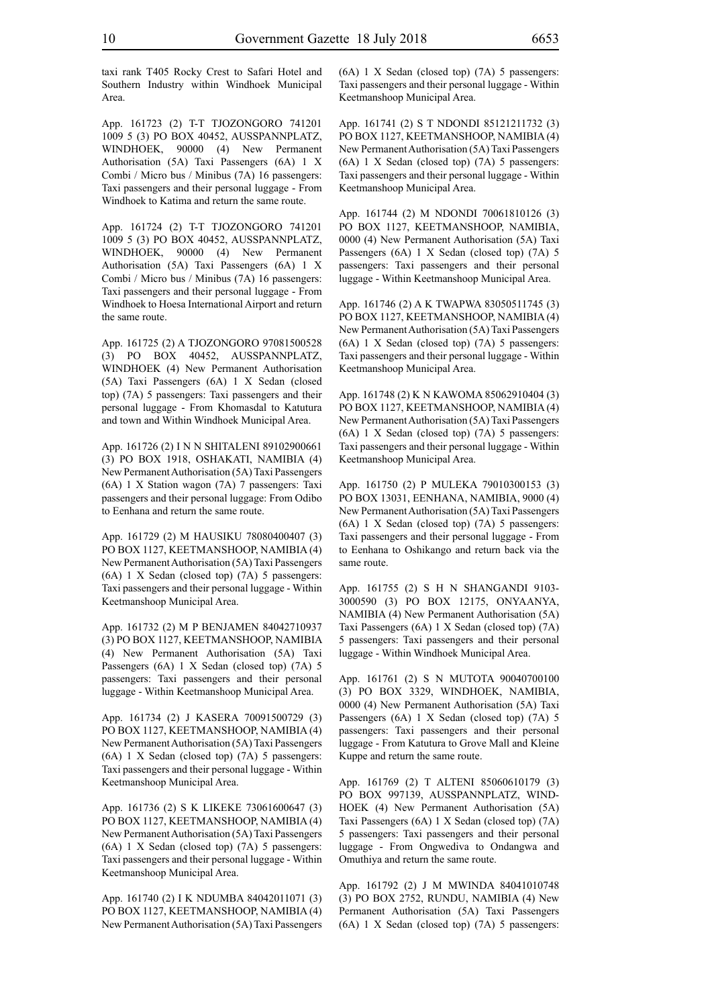taxi rank T405 Rocky Crest to Safari Hotel and Southern Industry within Windhoek Municipal Area.

App. 161723 (2) T-T TJOZONGORO 741201 1009 5 (3) PO BOX 40452, AUSSPANNPLATZ, WINDHOEK, 90000 (4) New Permanent Authorisation (5A) Taxi Passengers (6A) 1 X Combi / Micro bus / Minibus (7A) 16 passengers: Taxi passengers and their personal luggage - From Windhoek to Katima and return the same route.

App. 161724 (2) T-T TJOZONGORO 741201 1009 5 (3) PO BOX 40452, AUSSPANNPLATZ, WINDHOEK, 90000 (4) New Permanent Authorisation (5A) Taxi Passengers (6A) 1 X Combi / Micro bus / Minibus (7A) 16 passengers: Taxi passengers and their personal luggage - From Windhoek to Hoesa International Airport and return the same route.

App. 161725 (2) A TJOZONGORO 97081500528 (3) PO BOX 40452, AUSSPANNPLATZ, WINDHOEK (4) New Permanent Authorisation (5A) Taxi Passengers (6A) 1 X Sedan (closed top) (7A) 5 passengers: Taxi passengers and their personal luggage - From Khomasdal to Katutura and town and Within Windhoek Municipal Area.

App. 161726 (2) I N N SHITALENI 89102900661 (3) PO BOX 1918, OSHAKATI, NAMIBIA (4) New Permanent Authorisation (5A) Taxi Passengers (6A) 1 X Station wagon (7A) 7 passengers: Taxi passengers and their personal luggage: From Odibo to Eenhana and return the same route.

App. 161729 (2) M HAUSIKU 78080400407 (3) PO BOX 1127, KEETMANSHOOP, NAMIBIA (4) New Permanent Authorisation (5A) Taxi Passengers (6A) 1 X Sedan (closed top) (7A) 5 passengers: Taxi passengers and their personal luggage - Within Keetmanshoop Municipal Area.

App. 161732 (2) M P BENJAMEN 84042710937 (3) PO BOX 1127, KEETMANSHOOP, NAMIBIA (4) New Permanent Authorisation (5A) Taxi Passengers (6A) 1 X Sedan (closed top) (7A) 5 passengers: Taxi passengers and their personal luggage - Within Keetmanshoop Municipal Area.

App. 161734 (2) J KASERA 70091500729 (3) PO BOX 1127, KEETMANSHOOP, NAMIBIA (4) New Permanent Authorisation (5A) Taxi Passengers (6A) 1 X Sedan (closed top) (7A) 5 passengers: Taxi passengers and their personal luggage - Within Keetmanshoop Municipal Area.

App. 161736 (2) S K LIKEKE 73061600647 (3) PO BOX 1127, KEETMANSHOOP, NAMIBIA (4) New Permanent Authorisation (5A) Taxi Passengers (6A) 1 X Sedan (closed top) (7A) 5 passengers: Taxi passengers and their personal luggage - Within Keetmanshoop Municipal Area.

App. 161740 (2) I K NDUMBA 84042011071 (3) PO BOX 1127, KEETMANSHOOP, NAMIBIA (4) New Permanent Authorisation (5A) Taxi Passengers (6A) 1 X Sedan (closed top) (7A) 5 passengers: Taxi passengers and their personal luggage - Within Keetmanshoop Municipal Area.

App. 161741 (2) S T NDONDI 85121211732 (3) PO BOX 1127, KEETMANSHOOP, NAMIBIA (4) New Permanent Authorisation (5A) Taxi Passengers (6A) 1 X Sedan (closed top) (7A) 5 passengers: Taxi passengers and their personal luggage - Within Keetmanshoop Municipal Area.

App. 161744 (2) M NDONDI 70061810126 (3) PO BOX 1127, KEETMANSHOOP, NAMIBIA, 0000 (4) New Permanent Authorisation (5A) Taxi Passengers (6A) 1 X Sedan (closed top) (7A) 5 passengers: Taxi passengers and their personal luggage - Within Keetmanshoop Municipal Area.

App. 161746 (2) A K TWAPWA 83050511745 (3) PO BOX 1127, KEETMANSHOOP, NAMIBIA (4) New Permanent Authorisation (5A) Taxi Passengers (6A) 1 X Sedan (closed top) (7A) 5 passengers: Taxi passengers and their personal luggage - Within Keetmanshoop Municipal Area.

App. 161748 (2) K N KAWOMA 85062910404 (3) PO BOX 1127, KEETMANSHOOP, NAMIBIA (4) New Permanent Authorisation (5A) Taxi Passengers (6A) 1 X Sedan (closed top) (7A) 5 passengers: Taxi passengers and their personal luggage - Within Keetmanshoop Municipal Area.

App. 161750 (2) P MULEKA 79010300153 (3) PO BOX 13031, EENHANA, NAMIBIA, 9000 (4) New Permanent Authorisation (5A) Taxi Passengers (6A) 1 X Sedan (closed top) (7A) 5 passengers: Taxi passengers and their personal luggage - From to Eenhana to Oshikango and return back via the same route.

App. 161755 (2) S H N SHANGANDI 9103- 3000590 (3) PO BOX 12175, ONYAANYA, NAMIBIA (4) New Permanent Authorisation (5A) Taxi Passengers (6A) 1 X Sedan (closed top) (7A) 5 passengers: Taxi passengers and their personal luggage - Within Windhoek Municipal Area.

App. 161761 (2) S N MUTOTA 90040700100 (3) PO BOX 3329, WINDHOEK, NAMIBIA, 0000 (4) New Permanent Authorisation (5A) Taxi Passengers (6A) 1 X Sedan (closed top) (7A) 5 passengers: Taxi passengers and their personal luggage - From Katutura to Grove Mall and Kleine Kuppe and return the same route.

App. 161769 (2) T ALTENI 85060610179 (3) PO BOX 997139, AUSSPANNPLATZ, WIND-HOEK (4) New Permanent Authorisation (5A) Taxi Passengers (6A) 1 X Sedan (closed top) (7A) 5 passengers: Taxi passengers and their personal luggage - From Ongwediva to Ondangwa and Omuthiya and return the same route.

App. 161792 (2) J M MWINDA 84041010748 (3) PO BOX 2752, RUNDU, NAMIBIA (4) New Permanent Authorisation (5A) Taxi Passengers (6A) 1 X Sedan (closed top) (7A) 5 passengers: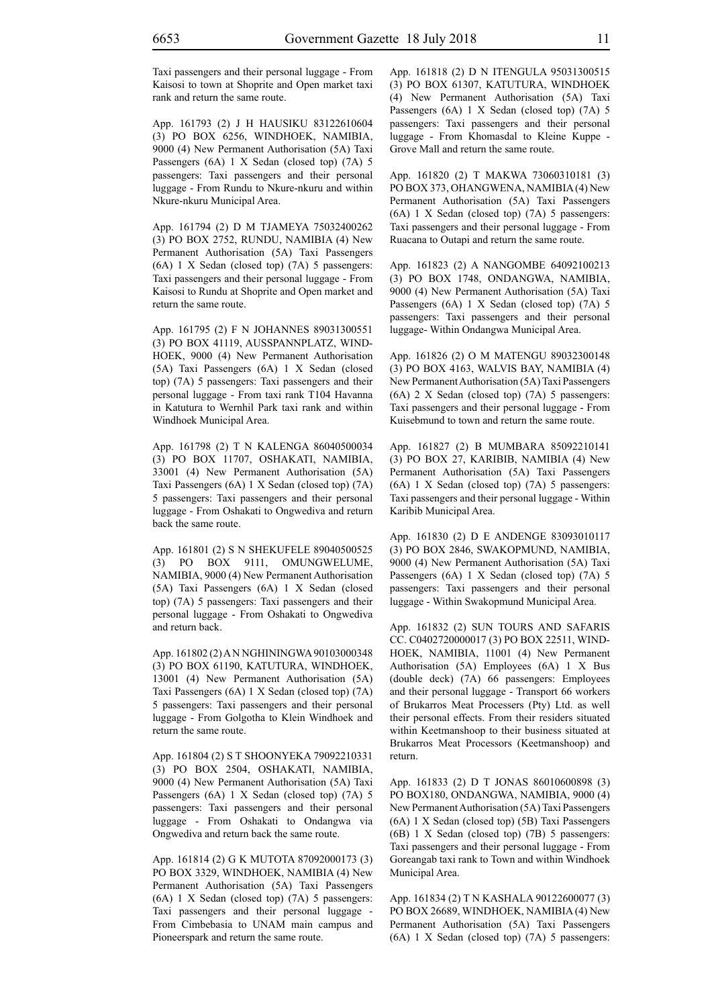Taxi passengers and their personal luggage - From Kaisosi to town at Shoprite and Open market taxi rank and return the same route.

App. 161793 (2) J H HAUSIKU 83122610604 (3) PO BOX 6256, WINDHOEK, NAMIBIA, 9000 (4) New Permanent Authorisation (5A) Taxi Passengers (6A) 1 X Sedan (closed top) (7A) 5 passengers: Taxi passengers and their personal luggage - From Rundu to Nkure-nkuru and within Nkure-nkuru Municipal Area.

App. 161794 (2) D M TJAMEYA 75032400262 (3) PO BOX 2752, RUNDU, NAMIBIA (4) New Permanent Authorisation (5A) Taxi Passengers (6A) 1 X Sedan (closed top) (7A) 5 passengers: Taxi passengers and their personal luggage - From Kaisosi to Rundu at Shoprite and Open market and return the same route.

App. 161795 (2) F N JOHANNES 89031300551 (3) PO BOX 41119, AUSSPANNPLATZ, WIND-HOEK, 9000 (4) New Permanent Authorisation (5A) Taxi Passengers (6A) 1 X Sedan (closed top) (7A) 5 passengers: Taxi passengers and their personal luggage - From taxi rank T104 Havanna in Katutura to Wernhil Park taxi rank and within Windhoek Municipal Area.

App. 161798 (2) T N KALENGA 86040500034 (3) PO BOX 11707, OSHAKATI, NAMIBIA, 33001 (4) New Permanent Authorisation (5A) Taxi Passengers (6A) 1 X Sedan (closed top) (7A) 5 passengers: Taxi passengers and their personal luggage - From Oshakati to Ongwediva and return back the same route.

App. 161801 (2) S N SHEKUFELE 89040500525 (3) PO BOX 9111, OMUNGWELUME, NAMIBIA, 9000 (4) New Permanent Authorisation (5A) Taxi Passengers (6A) 1 X Sedan (closed top) (7A) 5 passengers: Taxi passengers and their personal luggage - From Oshakati to Ongwediva and return back.

App. 161802 (2) A N NGHININGWA 90103000348 (3) PO BOX 61190, KATUTURA, WINDHOEK, 13001 (4) New Permanent Authorisation (5A) Taxi Passengers (6A) 1 X Sedan (closed top) (7A) 5 passengers: Taxi passengers and their personal luggage - From Golgotha to Klein Windhoek and return the same route.

App. 161804 (2) S T SHOONYEKA 79092210331 (3) PO BOX 2504, OSHAKATI, NAMIBIA, 9000 (4) New Permanent Authorisation (5A) Taxi Passengers (6A) 1 X Sedan (closed top) (7A) 5 passengers: Taxi passengers and their personal luggage - From Oshakati to Ondangwa via Ongwediva and return back the same route.

App. 161814 (2) G K MUTOTA 87092000173 (3) PO BOX 3329, WINDHOEK, NAMIBIA (4) New Permanent Authorisation (5A) Taxi Passengers (6A) 1 X Sedan (closed top) (7A) 5 passengers: Taxi passengers and their personal luggage - From Cimbebasia to UNAM main campus and Pioneerspark and return the same route.

App. 161818 (2) D N ITENGULA 95031300515 (3) PO BOX 61307, KATUTURA, WINDHOEK (4) New Permanent Authorisation (5A) Taxi Passengers (6A) 1 X Sedan (closed top) (7A) 5 passengers: Taxi passengers and their personal luggage - From Khomasdal to Kleine Kuppe - Grove Mall and return the same route.

App. 161820 (2) T MAKWA 73060310181 (3) PO BOX 373, OHANGWENA, NAMIBIA (4) New Permanent Authorisation (5A) Taxi Passengers (6A) 1 X Sedan (closed top) (7A) 5 passengers: Taxi passengers and their personal luggage - From Ruacana to Outapi and return the same route.

App. 161823 (2) A NANGOMBE 64092100213 (3) PO BOX 1748, ONDANGWA, NAMIBIA, 9000 (4) New Permanent Authorisation (5A) Taxi Passengers (6A) 1 X Sedan (closed top) (7A) 5 passengers: Taxi passengers and their personal luggage- Within Ondangwa Municipal Area.

App. 161826 (2) O M MATENGU 89032300148 (3) PO BOX 4163, WALVIS BAY, NAMIBIA (4) New Permanent Authorisation (5A) Taxi Passengers (6A) 2 X Sedan (closed top) (7A) 5 passengers: Taxi passengers and their personal luggage - From Kuisebmund to town and return the same route.

App. 161827 (2) B MUMBARA 85092210141 (3) PO BOX 27, KARIBIB, NAMIBIA (4) New Permanent Authorisation (5A) Taxi Passengers (6A) 1 X Sedan (closed top) (7A) 5 passengers: Taxi passengers and their personal luggage - Within Karibib Municipal Area.

App. 161830 (2) D E ANDENGE 83093010117 (3) PO BOX 2846, SWAKOPMUND, NAMIBIA, 9000 (4) New Permanent Authorisation (5A) Taxi Passengers (6A) 1 X Sedan (closed top) (7A) 5 passengers: Taxi passengers and their personal luggage - Within Swakopmund Municipal Area.

App. 161832 (2) SUN TOURS AND SAFARIS CC. C0402720000017 (3) PO BOX 22511, WIND-HOEK, NAMIBIA, 11001 (4) New Permanent Authorisation (5A) Employees (6A) 1 X Bus (double deck) (7A) 66 passengers: Employees and their personal luggage - Transport 66 workers of Brukarros Meat Processers (Pty) Ltd. as well their personal effects. From their residers situated within Keetmanshoop to their business situated at Brukarros Meat Processors (Keetmanshoop) and return.

App. 161833 (2) D T JONAS 86010600898 (3) PO BOX180, ONDANGWA, NAMIBIA, 9000 (4) New Permanent Authorisation (5A) Taxi Passengers (6A) 1 X Sedan (closed top) (5B) Taxi Passengers (6B) 1 X Sedan (closed top) (7B) 5 passengers: Taxi passengers and their personal luggage - From Goreangab taxi rank to Town and within Windhoek Municipal Area.

App. 161834 (2) T N KASHALA 90122600077 (3) PO BOX 26689, WINDHOEK, NAMIBIA (4) New Permanent Authorisation (5A) Taxi Passengers (6A) 1 X Sedan (closed top) (7A) 5 passengers: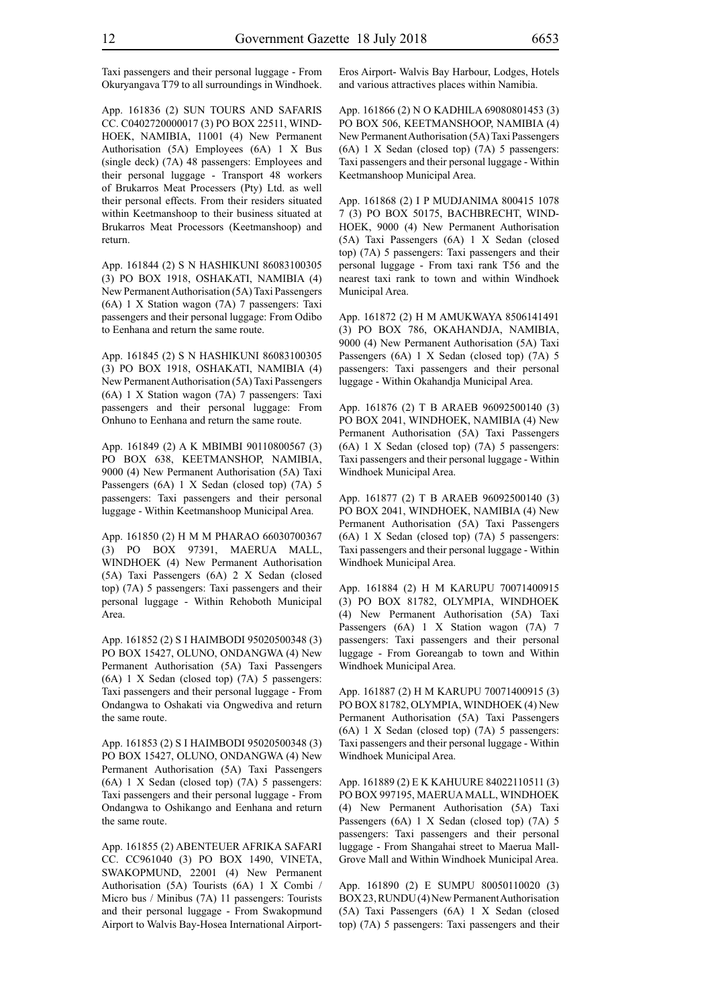Taxi passengers and their personal luggage - From Okuryangava T79 to all surroundings in Windhoek.

App. 161836 (2) SUN TOURS AND SAFARIS CC. C0402720000017 (3) PO BOX 22511, WIND-HOEK, NAMIBIA, 11001 (4) New Permanent Authorisation (5A) Employees (6A) 1 X Bus (single deck) (7A) 48 passengers: Employees and their personal luggage - Transport 48 workers of Brukarros Meat Processers (Pty) Ltd. as well their personal effects. From their residers situated within Keetmanshoop to their business situated at Brukarros Meat Processors (Keetmanshoop) and return.

App. 161844 (2) S N HASHIKUNI 86083100305 (3) PO BOX 1918, OSHAKATI, NAMIBIA (4) New Permanent Authorisation (5A) Taxi Passengers (6A) 1 X Station wagon (7A) 7 passengers: Taxi passengers and their personal luggage: From Odibo to Eenhana and return the same route.

App. 161845 (2) S N HASHIKUNI 86083100305 (3) PO BOX 1918, OSHAKATI, NAMIBIA (4) New Permanent Authorisation (5A) Taxi Passengers (6A) 1 X Station wagon (7A) 7 passengers: Taxi passengers and their personal luggage: From Onhuno to Eenhana and return the same route.

App. 161849 (2) A K MBIMBI 90110800567 (3) PO BOX 638, KEETMANSHOP, NAMIBIA, 9000 (4) New Permanent Authorisation (5A) Taxi Passengers (6A) 1 X Sedan (closed top) (7A) 5 passengers: Taxi passengers and their personal luggage - Within Keetmanshoop Municipal Area.

App. 161850 (2) H M M PHARAO 66030700367 (3) PO BOX 97391, MAERUA MALL, WINDHOEK (4) New Permanent Authorisation (5A) Taxi Passengers (6A) 2 X Sedan (closed top) (7A) 5 passengers: Taxi passengers and their personal luggage - Within Rehoboth Municipal Area.

App. 161852 (2) S I HAIMBODI 95020500348 (3) PO BOX 15427, OLUNO, ONDANGWA (4) New Permanent Authorisation (5A) Taxi Passengers (6A) 1 X Sedan (closed top) (7A) 5 passengers: Taxi passengers and their personal luggage - From Ondangwa to Oshakati via Ongwediva and return the same route.

App. 161853 (2) S I HAIMBODI 95020500348 (3) PO BOX 15427, OLUNO, ONDANGWA (4) New Permanent Authorisation (5A) Taxi Passengers (6A) 1 X Sedan (closed top) (7A) 5 passengers: Taxi passengers and their personal luggage - From Ondangwa to Oshikango and Eenhana and return the same route.

App. 161855 (2) ABENTEUER AFRIKA SAFARI CC. CC961040 (3) PO BOX 1490, VINETA, SWAKOPMUND, 22001 (4) New Permanent Authorisation (5A) Tourists (6A) 1 X Combi / Micro bus / Minibus (7A) 11 passengers: Tourists and their personal luggage - From Swakopmund Airport to Walvis Bay-Hosea International AirportEros Airport- Walvis Bay Harbour, Lodges, Hotels and various attractives places within Namibia.

App. 161866 (2) N O KADHILA 69080801453 (3) PO BOX 506, KEETMANSHOOP, NAMIBIA (4) New Permanent Authorisation (5A) Taxi Passengers (6A) 1 X Sedan (closed top) (7A) 5 passengers: Taxi passengers and their personal luggage - Within Keetmanshoop Municipal Area.

App. 161868 (2) I P MUDJANIMA 800415 1078 7 (3) PO BOX 50175, BACHBRECHT, WIND-HOEK, 9000 (4) New Permanent Authorisation (5A) Taxi Passengers (6A) 1 X Sedan (closed top) (7A) 5 passengers: Taxi passengers and their personal luggage - From taxi rank T56 and the nearest taxi rank to town and within Windhoek Municipal Area.

App. 161872 (2) H M AMUKWAYA 8506141491 (3) PO BOX 786, OKAHANDJA, NAMIBIA, 9000 (4) New Permanent Authorisation (5A) Taxi Passengers (6A) 1 X Sedan (closed top) (7A) 5 passengers: Taxi passengers and their personal luggage - Within Okahandja Municipal Area.

App. 161876 (2) T B ARAEB 96092500140 (3) PO BOX 2041, WINDHOEK, NAMIBIA (4) New Permanent Authorisation (5A) Taxi Passengers (6A) 1 X Sedan (closed top) (7A) 5 passengers: Taxi passengers and their personal luggage - Within Windhoek Municipal Area.

App. 161877 (2) T B ARAEB 96092500140 (3) PO BOX 2041, WINDHOEK, NAMIBIA (4) New Permanent Authorisation (5A) Taxi Passengers (6A) 1 X Sedan (closed top) (7A) 5 passengers: Taxi passengers and their personal luggage - Within Windhoek Municipal Area.

App. 161884 (2) H M KARUPU 70071400915 (3) PO BOX 81782, OLYMPIA, WINDHOEK (4) New Permanent Authorisation (5A) Taxi Passengers (6A) 1 X Station wagon (7A) 7 passengers: Taxi passengers and their personal luggage - From Goreangab to town and Within Windhoek Municipal Area.

App. 161887 (2) H M KARUPU 70071400915 (3) PO BOX 81782, OLYMPIA, WINDHOEK (4) New Permanent Authorisation (5A) Taxi Passengers (6A) 1 X Sedan (closed top) (7A) 5 passengers: Taxi passengers and their personal luggage - Within Windhoek Municipal Area.

App. 161889 (2) E K KAHUURE 84022110511 (3) PO BOX 997195, MAERUA MALL, WINDHOEK (4) New Permanent Authorisation (5A) Taxi Passengers (6A) 1 X Sedan (closed top) (7A) 5 passengers: Taxi passengers and their personal luggage - From Shangahai street to Maerua Mall-Grove Mall and Within Windhoek Municipal Area.

App. 161890 (2) E SUMPU 80050110020 (3) BOX 23, RUNDU (4) New Permanent Authorisation (5A) Taxi Passengers (6A) 1 X Sedan (closed top) (7A) 5 passengers: Taxi passengers and their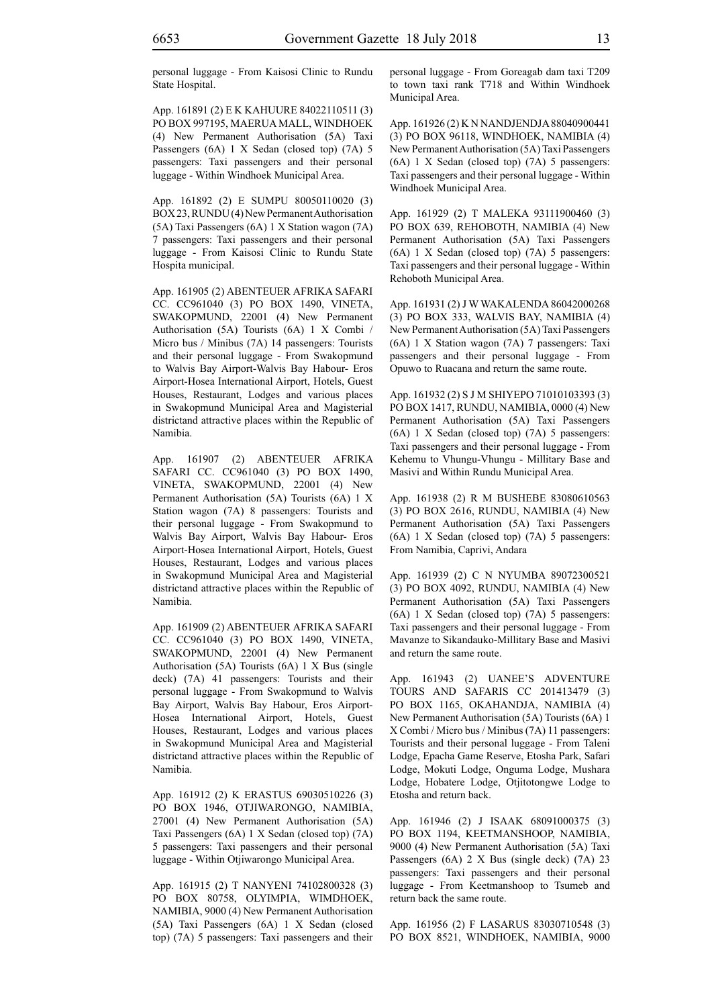personal luggage - From Kaisosi Clinic to Rundu State Hospital.

App. 161891 (2) E K KAHUURE 84022110511 (3) PO BOX 997195, MAERUA MALL, WINDHOEK (4) New Permanent Authorisation (5A) Taxi Passengers (6A) 1 X Sedan (closed top) (7A) 5 passengers: Taxi passengers and their personal luggage - Within Windhoek Municipal Area.

App. 161892 (2) E SUMPU 80050110020 (3) BOX 23, RUNDU (4) New Permanent Authorisation (5A) Taxi Passengers (6A) 1 X Station wagon (7A) 7 passengers: Taxi passengers and their personal luggage - From Kaisosi Clinic to Rundu State Hospita municipal.

App. 161905 (2) ABENTEUER AFRIKA SAFARI CC. CC961040 (3) PO BOX 1490, VINETA, SWAKOPMUND, 22001 (4) New Permanent Authorisation (5A) Tourists (6A) 1 X Combi / Micro bus / Minibus (7A) 14 passengers: Tourists and their personal luggage - From Swakopmund to Walvis Bay Airport-Walvis Bay Habour- Eros Airport-Hosea International Airport, Hotels, Guest Houses, Restaurant, Lodges and various places in Swakopmund Municipal Area and Magisterial districtand attractive places within the Republic of Namibia.

App. 161907 (2) ABENTEUER AFRIKA SAFARI CC. CC961040 (3) PO BOX 1490, VINETA, SWAKOPMUND, 22001 (4) New Permanent Authorisation (5A) Tourists (6A) 1 X Station wagon (7A) 8 passengers: Tourists and their personal luggage - From Swakopmund to Walvis Bay Airport, Walvis Bay Habour- Eros Airport-Hosea International Airport, Hotels, Guest Houses, Restaurant, Lodges and various places in Swakopmund Municipal Area and Magisterial districtand attractive places within the Republic of Namibia.

App. 161909 (2) ABENTEUER AFRIKA SAFARI CC. CC961040 (3) PO BOX 1490, VINETA, SWAKOPMUND, 22001 (4) New Permanent Authorisation (5A) Tourists (6A) 1 X Bus (single deck) (7A) 41 passengers: Tourists and their personal luggage - From Swakopmund to Walvis Bay Airport, Walvis Bay Habour, Eros Airport-Hosea International Airport, Hotels, Guest Houses, Restaurant, Lodges and various places in Swakopmund Municipal Area and Magisterial districtand attractive places within the Republic of Namibia.

App. 161912 (2) K ERASTUS 69030510226 (3) PO BOX 1946, OTJIWARONGO, NAMIBIA, 27001 (4) New Permanent Authorisation (5A) Taxi Passengers (6A) 1 X Sedan (closed top) (7A) 5 passengers: Taxi passengers and their personal luggage - Within Otjiwarongo Municipal Area.

App. 161915 (2) T NANYENI 74102800328 (3) PO BOX 80758, OLYIMPIA, WIMDHOEK, NAMIBIA, 9000 (4) New Permanent Authorisation (5A) Taxi Passengers (6A) 1 X Sedan (closed top) (7A) 5 passengers: Taxi passengers and their personal luggage - From Goreagab dam taxi T209 to town taxi rank T718 and Within Windhoek Municipal Area.

App. 161926 (2) K N NANDJENDJA 88040900441 (3) PO BOX 96118, WINDHOEK, NAMIBIA (4) New Permanent Authorisation (5A) Taxi Passengers (6A) 1 X Sedan (closed top) (7A) 5 passengers: Taxi passengers and their personal luggage - Within Windhoek Municipal Area.

App. 161929 (2) T MALEKA 93111900460 (3) PO BOX 639, REHOBOTH, NAMIBIA (4) New Permanent Authorisation (5A) Taxi Passengers (6A) 1 X Sedan (closed top) (7A) 5 passengers: Taxi passengers and their personal luggage - Within Rehoboth Municipal Area.

App. 161931 (2) J W WAKALENDA 86042000268 (3) PO BOX 333, WALVIS BAY, NAMIBIA (4) New Permanent Authorisation (5A) Taxi Passengers (6A) 1 X Station wagon (7A) 7 passengers: Taxi passengers and their personal luggage - From Opuwo to Ruacana and return the same route.

App. 161932 (2) S J M SHIYEPO 71010103393 (3) PO BOX 1417, RUNDU, NAMIBIA, 0000 (4) New Permanent Authorisation (5A) Taxi Passengers (6A) 1 X Sedan (closed top) (7A) 5 passengers: Taxi passengers and their personal luggage - From Kehemu to Vhungu-Vhungu - Millitary Base and Masivi and Within Rundu Municipal Area.

App. 161938 (2) R M BUSHEBE 83080610563 (3) PO BOX 2616, RUNDU, NAMIBIA (4) New Permanent Authorisation (5A) Taxi Passengers (6A) 1 X Sedan (closed top) (7A) 5 passengers: From Namibia, Caprivi, Andara

App. 161939 (2) C N NYUMBA 89072300521 (3) PO BOX 4092, RUNDU, NAMIBIA (4) New Permanent Authorisation (5A) Taxi Passengers (6A) 1 X Sedan (closed top) (7A) 5 passengers: Taxi passengers and their personal luggage - From Mavanze to Sikandauko-Millitary Base and Masivi and return the same route.

App. 161943 (2) UANEE'S ADVENTURE TOURS AND SAFARIS CC 201413479 (3) PO BOX 1165, OKAHANDJA, NAMIBIA (4) New Permanent Authorisation (5A) Tourists (6A) 1 X Combi / Micro bus / Minibus (7A) 11 passengers: Tourists and their personal luggage - From Taleni Lodge, Epacha Game Reserve, Etosha Park, Safari Lodge, Mokuti Lodge, Onguma Lodge, Mushara Lodge, Hobatere Lodge, Otjitotongwe Lodge to Etosha and return back.

App. 161946 (2) J ISAAK 68091000375 (3) PO BOX 1194, KEETMANSHOOP, NAMIBIA, 9000 (4) New Permanent Authorisation (5A) Taxi Passengers (6A) 2 X Bus (single deck) (7A) 23 passengers: Taxi passengers and their personal luggage - From Keetmanshoop to Tsumeb and return back the same route.

App. 161956 (2) F LASARUS 83030710548 (3) PO BOX 8521, WINDHOEK, NAMIBIA, 9000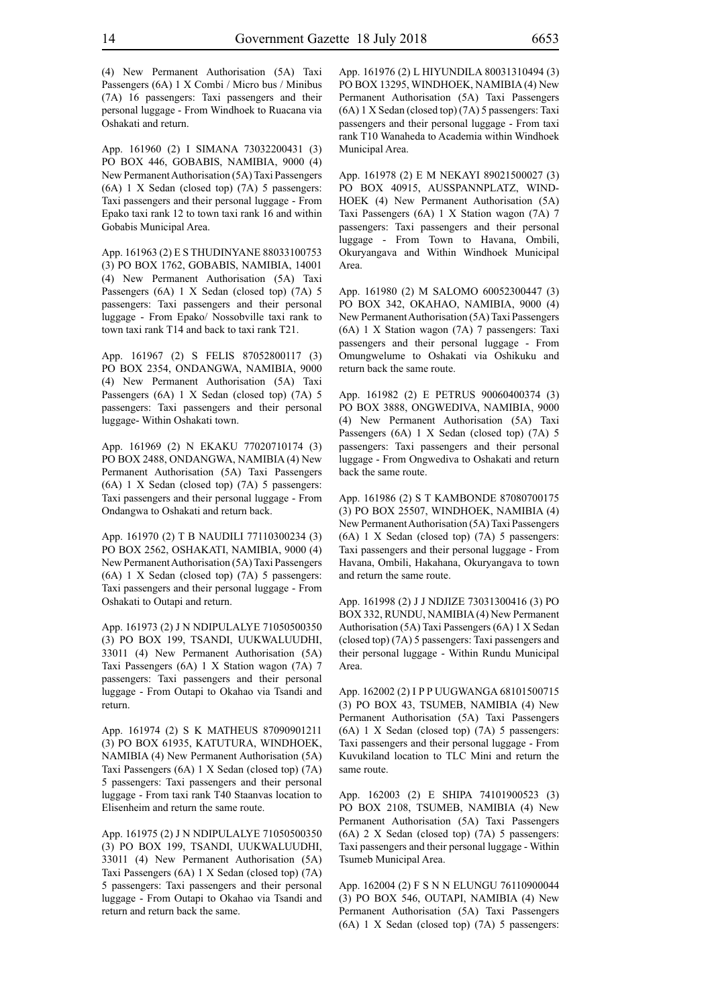(4) New Permanent Authorisation (5A) Taxi Passengers (6A) 1 X Combi / Micro bus / Minibus (7A) 16 passengers: Taxi passengers and their personal luggage - From Windhoek to Ruacana via Oshakati and return.

App. 161960 (2) I SIMANA 73032200431 (3) PO BOX 446, GOBABIS, NAMIBIA, 9000 (4) New Permanent Authorisation (5A) Taxi Passengers (6A) 1 X Sedan (closed top) (7A) 5 passengers: Taxi passengers and their personal luggage - From Epako taxi rank 12 to town taxi rank 16 and within Gobabis Municipal Area.

App. 161963 (2) E S THUDINYANE 88033100753 (3) PO BOX 1762, GOBABIS, NAMIBIA, 14001 (4) New Permanent Authorisation (5A) Taxi Passengers (6A) 1 X Sedan (closed top) (7A) 5 passengers: Taxi passengers and their personal luggage - From Epako/ Nossobville taxi rank to town taxi rank T14 and back to taxi rank T21.

App. 161967 (2) S FELIS 87052800117 (3) PO BOX 2354, ONDANGWA, NAMIBIA, 9000 (4) New Permanent Authorisation (5A) Taxi Passengers (6A) 1 X Sedan (closed top) (7A) 5 passengers: Taxi passengers and their personal luggage- Within Oshakati town.

App. 161969 (2) N EKAKU 77020710174 (3) PO BOX 2488, ONDANGWA, NAMIBIA (4) New Permanent Authorisation (5A) Taxi Passengers (6A) 1 X Sedan (closed top) (7A) 5 passengers: Taxi passengers and their personal luggage - From Ondangwa to Oshakati and return back.

App. 161970 (2) T B NAUDILI 77110300234 (3) PO BOX 2562, OSHAKATI, NAMIBIA, 9000 (4) New Permanent Authorisation (5A) Taxi Passengers (6A) 1 X Sedan (closed top) (7A) 5 passengers: Taxi passengers and their personal luggage - From Oshakati to Outapi and return.

App. 161973 (2) J N NDIPULALYE 71050500350 (3) PO BOX 199, TSANDI, UUKWALUUDHI, 33011 (4) New Permanent Authorisation (5A) Taxi Passengers (6A) 1 X Station wagon (7A) 7 passengers: Taxi passengers and their personal luggage - From Outapi to Okahao via Tsandi and return.

App. 161974 (2) S K MATHEUS 87090901211 (3) PO BOX 61935, KATUTURA, WINDHOEK, NAMIBIA (4) New Permanent Authorisation (5A) Taxi Passengers (6A) 1 X Sedan (closed top) (7A) 5 passengers: Taxi passengers and their personal luggage - From taxi rank T40 Staanvas location to Elisenheim and return the same route.

App. 161975 (2) J N NDIPULALYE 71050500350 (3) PO BOX 199, TSANDI, UUKWALUUDHI, 33011 (4) New Permanent Authorisation (5A) Taxi Passengers (6A) 1 X Sedan (closed top) (7A) 5 passengers: Taxi passengers and their personal luggage - From Outapi to Okahao via Tsandi and return and return back the same.

App. 161976 (2) L HIYUNDILA 80031310494 (3) PO BOX 13295, WINDHOEK, NAMIBIA (4) New Permanent Authorisation (5A) Taxi Passengers (6A) 1 X Sedan (closed top) (7A) 5 passengers: Taxi passengers and their personal luggage - From taxi rank T10 Wanaheda to Academia within Windhoek Municipal Area.

App. 161978 (2) E M NEKAYI 89021500027 (3) PO BOX 40915, AUSSPANNPLATZ, WIND-HOEK (4) New Permanent Authorisation (5A) Taxi Passengers (6A) 1 X Station wagon (7A) 7 passengers: Taxi passengers and their personal luggage - From Town to Havana, Ombili, Okuryangava and Within Windhoek Municipal Area.

App. 161980 (2) M SALOMO 60052300447 (3) PO BOX 342, OKAHAO, NAMIBIA, 9000 (4) New Permanent Authorisation (5A) Taxi Passengers (6A) 1 X Station wagon (7A) 7 passengers: Taxi passengers and their personal luggage - From Omungwelume to Oshakati via Oshikuku and return back the same route.

App. 161982 (2) E PETRUS 90060400374 (3) PO BOX 3888, ONGWEDIVA, NAMIBIA, 9000 (4) New Permanent Authorisation (5A) Taxi Passengers (6A) 1 X Sedan (closed top) (7A) 5 passengers: Taxi passengers and their personal luggage - From Ongwediva to Oshakati and return back the same route.

App. 161986 (2) S T KAMBONDE 87080700175 (3) PO BOX 25507, WINDHOEK, NAMIBIA (4) New Permanent Authorisation (5A) Taxi Passengers (6A) 1 X Sedan (closed top) (7A) 5 passengers: Taxi passengers and their personal luggage - From Havana, Ombili, Hakahana, Okuryangava to town and return the same route.

App. 161998 (2) J J NDJIZE 73031300416 (3) PO BOX 332, RUNDU, NAMIBIA (4) New Permanent Authorisation (5A) Taxi Passengers (6A) 1 X Sedan (closed top) (7A) 5 passengers: Taxi passengers and their personal luggage - Within Rundu Municipal Area.

App. 162002 (2) I P P UUGWANGA 68101500715 (3) PO BOX 43, TSUMEB, NAMIBIA (4) New Permanent Authorisation (5A) Taxi Passengers (6A) 1 X Sedan (closed top) (7A) 5 passengers: Taxi passengers and their personal luggage - From Kuvukiland location to TLC Mini and return the same route.

App. 162003 (2) E SHIPA 74101900523 (3) PO BOX 2108, TSUMEB, NAMIBIA (4) New Permanent Authorisation (5A) Taxi Passengers (6A) 2 X Sedan (closed top) (7A) 5 passengers: Taxi passengers and their personal luggage - Within Tsumeb Municipal Area.

App. 162004 (2) F S N N ELUNGU 76110900044 (3) PO BOX 546, OUTAPI, NAMIBIA (4) New Permanent Authorisation (5A) Taxi Passengers (6A) 1 X Sedan (closed top) (7A) 5 passengers: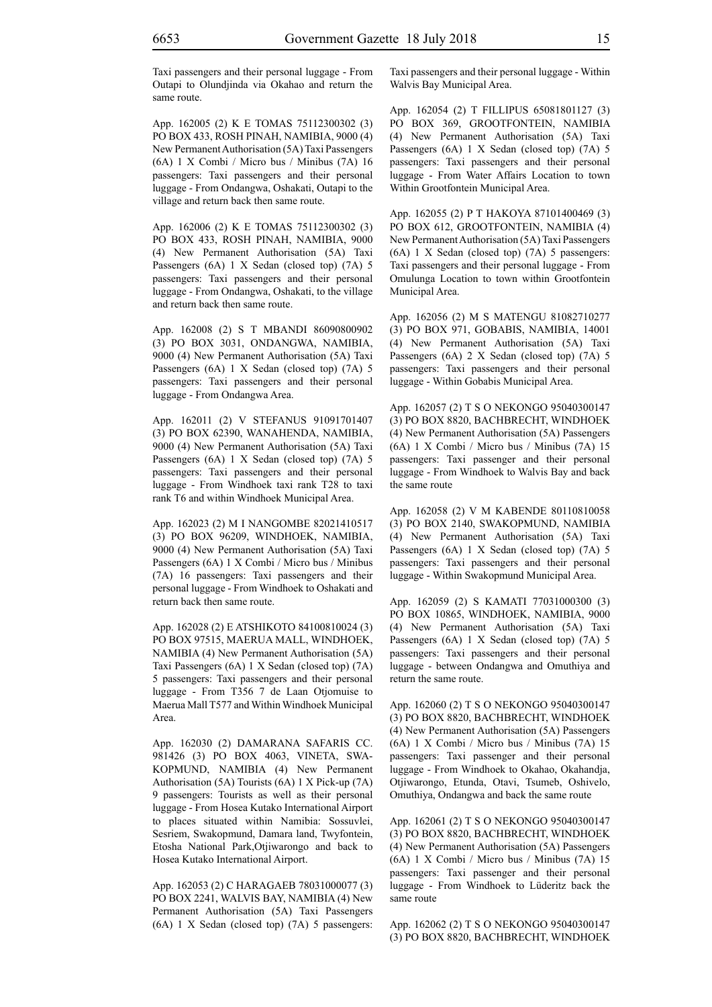Taxi passengers and their personal luggage - From Outapi to Olundjinda via Okahao and return the same route.

App. 162005 (2) K E TOMAS 75112300302 (3) PO BOX 433, ROSH PINAH, NAMIBIA, 9000 (4) New Permanent Authorisation (5A) Taxi Passengers (6A) 1 X Combi / Micro bus / Minibus (7A) 16 passengers: Taxi passengers and their personal luggage - From Ondangwa, Oshakati, Outapi to the village and return back then same route.

App. 162006 (2) K E TOMAS 75112300302 (3) PO BOX 433, ROSH PINAH, NAMIBIA, 9000 (4) New Permanent Authorisation (5A) Taxi Passengers (6A) 1 X Sedan (closed top) (7A) 5 passengers: Taxi passengers and their personal luggage - From Ondangwa, Oshakati, to the village and return back then same route.

App. 162008 (2) S T MBANDI 86090800902 (3) PO BOX 3031, ONDANGWA, NAMIBIA, 9000 (4) New Permanent Authorisation (5A) Taxi Passengers (6A) 1 X Sedan (closed top) (7A) 5 passengers: Taxi passengers and their personal luggage - From Ondangwa Area.

App. 162011 (2) V STEFANUS 91091701407 (3) PO BOX 62390, WANAHENDA, NAMIBIA, 9000 (4) New Permanent Authorisation (5A) Taxi Passengers (6A) 1 X Sedan (closed top) (7A) 5 passengers: Taxi passengers and their personal luggage - From Windhoek taxi rank T28 to taxi rank T6 and within Windhoek Municipal Area.

App. 162023 (2) M I NANGOMBE 82021410517 (3) PO BOX 96209, WINDHOEK, NAMIBIA, 9000 (4) New Permanent Authorisation (5A) Taxi Passengers (6A) 1 X Combi / Micro bus / Minibus (7A) 16 passengers: Taxi passengers and their personal luggage - From Windhoek to Oshakati and return back then same route.

App. 162028 (2) E ATSHIKOTO 84100810024 (3) PO BOX 97515, MAERUA MALL, WINDHOEK, NAMIBIA (4) New Permanent Authorisation (5A) Taxi Passengers (6A) 1 X Sedan (closed top) (7A) 5 passengers: Taxi passengers and their personal luggage - From T356 7 de Laan Otjomuise to Maerua Mall T577 and Within Windhoek Municipal Area.

App. 162030 (2) DAMARANA SAFARIS CC. 981426 (3) PO BOX 4063, VINETA, SWA-KOPMUND, NAMIBIA (4) New Permanent Authorisation (5A) Tourists (6A) 1 X Pick-up (7A) 9 passengers: Tourists as well as their personal luggage - From Hosea Kutako International Airport to places situated within Namibia: Sossuvlei, Sesriem, Swakopmund, Damara land, Twyfontein, Etosha National Park,Otjiwarongo and back to Hosea Kutako International Airport.

App. 162053 (2) C HARAGAEB 78031000077 (3) PO BOX 2241, WALVIS BAY, NAMIBIA (4) New Permanent Authorisation (5A) Taxi Passengers (6A) 1 X Sedan (closed top) (7A) 5 passengers: Taxi passengers and their personal luggage - Within Walvis Bay Municipal Area.

App. 162054 (2) T FILLIPUS 65081801127 (3) PO BOX 369, GROOTFONTEIN, NAMIBIA (4) New Permanent Authorisation (5A) Taxi Passengers (6A) 1 X Sedan (closed top) (7A) 5 passengers: Taxi passengers and their personal luggage - From Water Affairs Location to town Within Grootfontein Municipal Area.

App. 162055 (2) P T HAKOYA 87101400469 (3) PO BOX 612, GROOTFONTEIN, NAMIBIA (4) New Permanent Authorisation (5A) Taxi Passengers (6A) 1 X Sedan (closed top) (7A) 5 passengers: Taxi passengers and their personal luggage - From Omulunga Location to town within Grootfontein Municipal Area.

App. 162056 (2) M S MATENGU 81082710277 (3) PO BOX 971, GOBABIS, NAMIBIA, 14001 (4) New Permanent Authorisation (5A) Taxi Passengers (6A) 2 X Sedan (closed top) (7A) 5 passengers: Taxi passengers and their personal luggage - Within Gobabis Municipal Area.

App. 162057 (2) T S O NEKONGO 95040300147 (3) PO BOX 8820, BACHBRECHT, WINDHOEK (4) New Permanent Authorisation (5A) Passengers (6A) 1 X Combi / Micro bus / Minibus (7A) 15 passengers: Taxi passenger and their personal luggage - From Windhoek to Walvis Bay and back the same route

App. 162058 (2) V M KABENDE 80110810058 (3) PO BOX 2140, SWAKOPMUND, NAMIBIA (4) New Permanent Authorisation (5A) Taxi Passengers (6A) 1 X Sedan (closed top) (7A) 5 passengers: Taxi passengers and their personal luggage - Within Swakopmund Municipal Area.

App. 162059 (2) S KAMATI 77031000300 (3) PO BOX 10865, WINDHOEK, NAMIBIA, 9000 (4) New Permanent Authorisation (5A) Taxi Passengers (6A) 1 X Sedan (closed top) (7A) 5 passengers: Taxi passengers and their personal luggage - between Ondangwa and Omuthiya and return the same route.

App. 162060 (2) T S O NEKONGO 95040300147 (3) PO BOX 8820, BACHBRECHT, WINDHOEK (4) New Permanent Authorisation (5A) Passengers (6A) 1 X Combi / Micro bus / Minibus (7A) 15 passengers: Taxi passenger and their personal luggage - From Windhoek to Okahao, Okahandja, Otjiwarongo, Etunda, Otavi, Tsumeb, Oshivelo, Omuthiya, Ondangwa and back the same route

App. 162061 (2) T S O NEKONGO 95040300147 (3) PO BOX 8820, BACHBRECHT, WINDHOEK (4) New Permanent Authorisation (5A) Passengers (6A) 1 X Combi / Micro bus / Minibus (7A) 15 passengers: Taxi passenger and their personal luggage - From Windhoek to Lüderitz back the same route

App. 162062 (2) T S O NEKONGO 95040300147 (3) PO BOX 8820, BACHBRECHT, WINDHOEK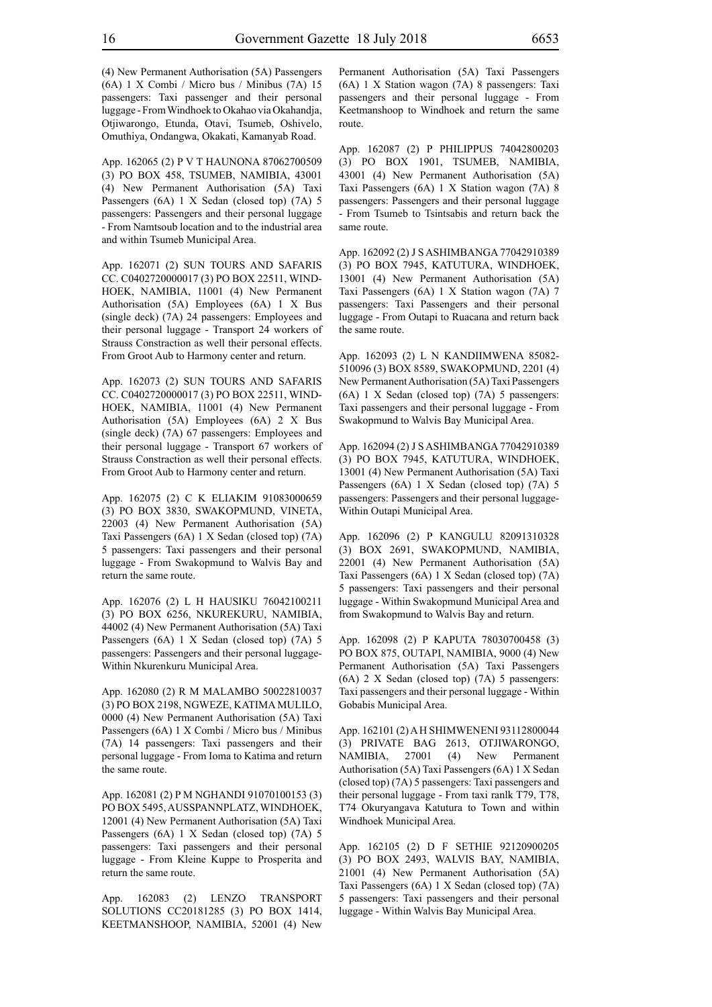(4) New Permanent Authorisation (5A) Passengers (6A) 1 X Combi / Micro bus / Minibus (7A) 15 passengers: Taxi passenger and their personal luggage - From Windhoek to Okahao via Okahandja, Otjiwarongo, Etunda, Otavi, Tsumeb, Oshivelo, Omuthiya, Ondangwa, Okakati, Kamanyab Road.

App. 162065 (2) P V T HAUNONA 87062700509 (3) PO BOX 458, TSUMEB, NAMIBIA, 43001 (4) New Permanent Authorisation (5A) Taxi Passengers (6A) 1 X Sedan (closed top) (7A) 5 passengers: Passengers and their personal luggage - From Namtsoub location and to the industrial area and within Tsumeb Municipal Area.

App. 162071 (2) SUN TOURS AND SAFARIS CC. C0402720000017 (3) PO BOX 22511, WIND-HOEK, NAMIBIA, 11001 (4) New Permanent Authorisation (5A) Employees (6A) 1 X Bus (single deck) (7A) 24 passengers: Employees and their personal luggage - Transport 24 workers of Strauss Constraction as well their personal effects. From Groot Aub to Harmony center and return.

App. 162073 (2) SUN TOURS AND SAFARIS CC. C0402720000017 (3) PO BOX 22511, WIND-HOEK, NAMIBIA, 11001 (4) New Permanent Authorisation (5A) Employees (6A) 2 X Bus (single deck) (7A) 67 passengers: Employees and their personal luggage - Transport 67 workers of Strauss Constraction as well their personal effects. From Groot Aub to Harmony center and return.

App. 162075 (2) C K ELIAKIM 91083000659 (3) PO BOX 3830, SWAKOPMUND, VINETA, 22003 (4) New Permanent Authorisation (5A) Taxi Passengers (6A) 1 X Sedan (closed top) (7A) 5 passengers: Taxi passengers and their personal luggage - From Swakopmund to Walvis Bay and return the same route.

App. 162076 (2) L H HAUSIKU 76042100211 (3) PO BOX 6256, NKUREKURU, NAMIBIA, 44002 (4) New Permanent Authorisation (5A) Taxi Passengers (6A) 1 X Sedan (closed top) (7A) 5 passengers: Passengers and their personal luggage-Within Nkurenkuru Municipal Area.

App. 162080 (2) R M MALAMBO 50022810037 (3) PO BOX 2198, NGWEZE, KATIMA MULILO, 0000 (4) New Permanent Authorisation (5A) Taxi Passengers (6A) 1 X Combi / Micro bus / Minibus (7A) 14 passengers: Taxi passengers and their personal luggage - From Ioma to Katima and return the same route.

App. 162081 (2) P M NGHANDI 91070100153 (3) PO BOX 5495, AUSSPANNPLATZ, WINDHOEK, 12001 (4) New Permanent Authorisation (5A) Taxi Passengers (6A) 1 X Sedan (closed top) (7A) 5 passengers: Taxi passengers and their personal luggage - From Kleine Kuppe to Prosperita and return the same route.

App. 162083 (2) LENZO TRANSPORT SOLUTIONS CC20181285 (3) PO BOX 1414, KEETMANSHOOP, NAMIBIA, 52001 (4) New Permanent Authorisation (5A) Taxi Passengers (6A) 1 X Station wagon (7A) 8 passengers: Taxi passengers and their personal luggage - From Keetmanshoop to Windhoek and return the same route.

App. 162087 (2) P PHILIPPUS 74042800203 (3) PO BOX 1901, TSUMEB, NAMIBIA, 43001 (4) New Permanent Authorisation (5A) Taxi Passengers (6A) 1 X Station wagon (7A) 8 passengers: Passengers and their personal luggage - From Tsumeb to Tsintsabis and return back the same route.

App. 162092 (2) J S ASHIMBANGA 77042910389 (3) PO BOX 7945, KATUTURA, WINDHOEK, 13001 (4) New Permanent Authorisation (5A) Taxi Passengers (6A) 1 X Station wagon (7A) 7 passengers: Taxi Passengers and their personal luggage - From Outapi to Ruacana and return back the same route.

App. 162093 (2) L N KANDIIMWENA 85082- 510096 (3) BOX 8589, SWAKOPMUND, 2201 (4) New Permanent Authorisation (5A) Taxi Passengers (6A) 1 X Sedan (closed top) (7A) 5 passengers: Taxi passengers and their personal luggage - From Swakopmund to Walvis Bay Municipal Area.

App. 162094 (2) J S ASHIMBANGA 77042910389 (3) PO BOX 7945, KATUTURA, WINDHOEK, 13001 (4) New Permanent Authorisation (5A) Taxi Passengers (6A) 1 X Sedan (closed top) (7A) 5 passengers: Passengers and their personal luggage-Within Outapi Municipal Area.

App. 162096 (2) P KANGULU 82091310328 (3) BOX 2691, SWAKOPMUND, NAMIBIA, 22001 (4) New Permanent Authorisation (5A) Taxi Passengers (6A) 1 X Sedan (closed top) (7A) 5 passengers: Taxi passengers and their personal luggage - Within Swakopmund Municipal Area and from Swakopmund to Walvis Bay and return.

App. 162098 (2) P KAPUTA 78030700458 (3) PO BOX 875, OUTAPI, NAMIBIA, 9000 (4) New Permanent Authorisation (5A) Taxi Passengers (6A) 2 X Sedan (closed top) (7A) 5 passengers: Taxi passengers and their personal luggage - Within Gobabis Municipal Area.

App. 162101 (2) A H SHIMWENENI 93112800044 (3) PRIVATE BAG 2613, OTJIWARONGO, NAMIBIA, 27001 (4) New Permanent Authorisation (5A) Taxi Passengers (6A) 1 X Sedan (closed top) (7A) 5 passengers: Taxi passengers and their personal luggage - From taxi ranlk T79, T78, T74 Okuryangava Katutura to Town and within Windhoek Municipal Area.

App. 162105 (2) D F SETHIE 92120900205 (3) PO BOX 2493, WALVIS BAY, NAMIBIA, 21001 (4) New Permanent Authorisation (5A) Taxi Passengers (6A) 1 X Sedan (closed top) (7A) 5 passengers: Taxi passengers and their personal luggage - Within Walvis Bay Municipal Area.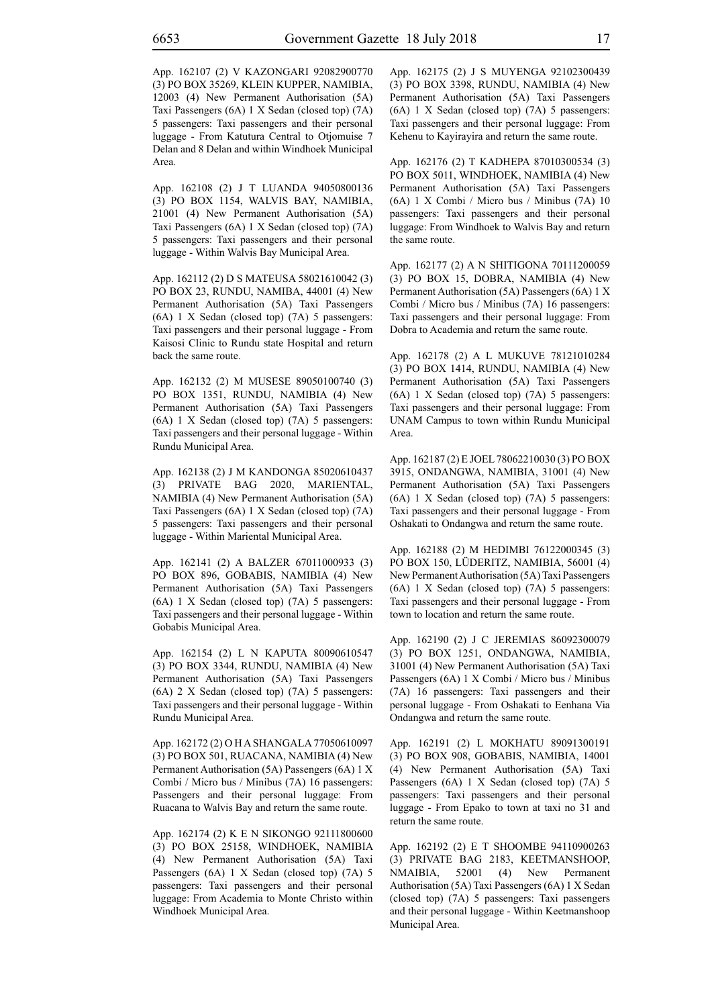App. 162107 (2) V KAZONGARI 92082900770 (3) PO BOX 35269, KLEIN KUPPER, NAMIBIA, 12003 (4) New Permanent Authorisation (5A) Taxi Passengers (6A) 1 X Sedan (closed top) (7A) 5 passengers: Taxi passengers and their personal luggage - From Katutura Central to Otjomuise 7 Delan and 8 Delan and within Windhoek Municipal Area.

App. 162108 (2) J T LUANDA 94050800136 (3) PO BOX 1154, WALVIS BAY, NAMIBIA, 21001 (4) New Permanent Authorisation (5A) Taxi Passengers (6A) 1 X Sedan (closed top) (7A) 5 passengers: Taxi passengers and their personal luggage - Within Walvis Bay Municipal Area.

App. 162112 (2) D S MATEUSA 58021610042 (3) PO BOX 23, RUNDU, NAMIBA, 44001 (4) New Permanent Authorisation (5A) Taxi Passengers (6A) 1 X Sedan (closed top) (7A) 5 passengers: Taxi passengers and their personal luggage - From Kaisosi Clinic to Rundu state Hospital and return back the same route.

App. 162132 (2) M MUSESE 89050100740 (3) PO BOX 1351, RUNDU, NAMIBIA (4) New Permanent Authorisation (5A) Taxi Passengers (6A) 1 X Sedan (closed top) (7A) 5 passengers: Taxi passengers and their personal luggage - Within Rundu Municipal Area.

App. 162138 (2) J M KANDONGA 85020610437 (3) PRIVATE BAG 2020, MARIENTAL, NAMIBIA (4) New Permanent Authorisation (5A) Taxi Passengers (6A) 1 X Sedan (closed top) (7A) 5 passengers: Taxi passengers and their personal luggage - Within Mariental Municipal Area.

App. 162141 (2) A BALZER 67011000933 (3) PO BOX 896, GOBABIS, NAMIBIA (4) New Permanent Authorisation (5A) Taxi Passengers (6A) 1 X Sedan (closed top) (7A) 5 passengers: Taxi passengers and their personal luggage - Within Gobabis Municipal Area.

App. 162154 (2) L N KAPUTA 80090610547 (3) PO BOX 3344, RUNDU, NAMIBIA (4) New Permanent Authorisation (5A) Taxi Passengers (6A) 2 X Sedan (closed top) (7A) 5 passengers: Taxi passengers and their personal luggage - Within Rundu Municipal Area.

App. 162172 (2) O H A SHANGALA 77050610097 (3) PO BOX 501, RUACANA, NAMIBIA (4) New Permanent Authorisation (5A) Passengers (6A) 1 X Combi / Micro bus / Minibus (7A) 16 passengers: Passengers and their personal luggage: From Ruacana to Walvis Bay and return the same route.

App. 162174 (2) K E N SIKONGO 92111800600 (3) PO BOX 25158, WINDHOEK, NAMIBIA (4) New Permanent Authorisation (5A) Taxi Passengers (6A) 1 X Sedan (closed top) (7A) 5 passengers: Taxi passengers and their personal luggage: From Academia to Monte Christo within Windhoek Municipal Area.

App. 162175 (2) J S MUYENGA 92102300439 (3) PO BOX 3398, RUNDU, NAMIBIA (4) New Permanent Authorisation (5A) Taxi Passengers (6A) 1 X Sedan (closed top) (7A) 5 passengers: Taxi passengers and their personal luggage: From Kehenu to Kayirayira and return the same route.

App. 162176 (2) T KADHEPA 87010300534 (3) PO BOX 5011, WINDHOEK, NAMIBIA (4) New Permanent Authorisation (5A) Taxi Passengers (6A) 1 X Combi / Micro bus / Minibus (7A) 10 passengers: Taxi passengers and their personal luggage: From Windhoek to Walvis Bay and return the same route.

App. 162177 (2) A N SHITIGONA 70111200059 (3) PO BOX 15, DOBRA, NAMIBIA (4) New Permanent Authorisation (5A) Passengers (6A) 1 X Combi / Micro bus / Minibus (7A) 16 passengers: Taxi passengers and their personal luggage: From Dobra to Academia and return the same route.

App. 162178 (2) A L MUKUVE 78121010284 (3) PO BOX 1414, RUNDU, NAMIBIA (4) New Permanent Authorisation (5A) Taxi Passengers (6A) 1 X Sedan (closed top) (7A) 5 passengers: Taxi passengers and their personal luggage: From UNAM Campus to town within Rundu Municipal Area.

App. 162187 (2) E JOEL 78062210030 (3) PO BOX 3915, ONDANGWA, NAMIBIA, 31001 (4) New Permanent Authorisation (5A) Taxi Passengers (6A) 1 X Sedan (closed top) (7A) 5 passengers: Taxi passengers and their personal luggage - From Oshakati to Ondangwa and return the same route.

App. 162188 (2) M HEDIMBI 76122000345 (3) PO BOX 150, LÜDERITZ, NAMIBIA, 56001 (4) New Permanent Authorisation (5A) Taxi Passengers (6A) 1 X Sedan (closed top) (7A) 5 passengers: Taxi passengers and their personal luggage - From town to location and return the same route.

App. 162190 (2) J C JEREMIAS 86092300079 (3) PO BOX 1251, ONDANGWA, NAMIBIA, 31001 (4) New Permanent Authorisation (5A) Taxi Passengers (6A) 1 X Combi / Micro bus / Minibus (7A) 16 passengers: Taxi passengers and their personal luggage - From Oshakati to Eenhana Via Ondangwa and return the same route.

App. 162191 (2) L MOKHATU 89091300191 (3) PO BOX 908, GOBABIS, NAMIBIA, 14001 (4) New Permanent Authorisation (5A) Taxi Passengers (6A) 1 X Sedan (closed top) (7A) 5 passengers: Taxi passengers and their personal luggage - From Epako to town at taxi no 31 and return the same route.

App. 162192 (2) E T SHOOMBE 94110900263 (3) PRIVATE BAG 2183, KEETMANSHOOP, NMAIBIA, 52001 (4) New Permanent Authorisation (5A) Taxi Passengers (6A) 1 X Sedan (closed top) (7A) 5 passengers: Taxi passengers and their personal luggage - Within Keetmanshoop Municipal Area.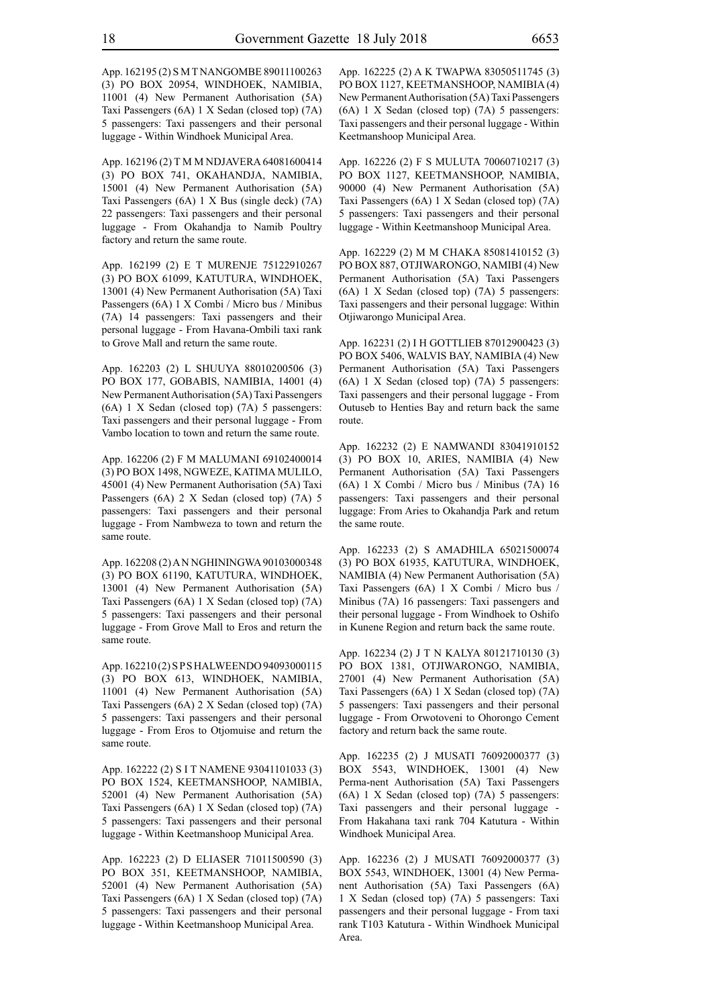App. 162195 (2) S M T NANGOMBE 89011100263 (3) PO BOX 20954, WINDHOEK, NAMIBIA, 11001 (4) New Permanent Authorisation (5A) Taxi Passengers (6A) 1 X Sedan (closed top) (7A) 5 passengers: Taxi passengers and their personal luggage - Within Windhoek Municipal Area.

App. 162196 (2) T M M NDJAVERA 64081600414 (3) PO BOX 741, OKAHANDJA, NAMIBIA, 15001 (4) New Permanent Authorisation (5A) Taxi Passengers (6A) 1 X Bus (single deck) (7A) 22 passengers: Taxi passengers and their personal luggage - From Okahandja to Namib Poultry factory and return the same route.

App. 162199 (2) E T MURENJE 75122910267 (3) PO BOX 61099, KATUTURA, WINDHOEK, 13001 (4) New Permanent Authorisation (5A) Taxi Passengers (6A) 1 X Combi / Micro bus / Minibus (7A) 14 passengers: Taxi passengers and their personal luggage - From Havana-Ombili taxi rank to Grove Mall and return the same route.

App. 162203 (2) L SHUUYA 88010200506 (3) PO BOX 177, GOBABIS, NAMIBIA, 14001 (4) New Permanent Authorisation (5A) Taxi Passengers (6A) 1 X Sedan (closed top) (7A) 5 passengers: Taxi passengers and their personal luggage - From Vambo location to town and return the same route.

App. 162206 (2) F M MALUMANI 69102400014 (3) PO BOX 1498, NGWEZE, KATIMA MULILO, 45001 (4) New Permanent Authorisation (5A) Taxi Passengers (6A) 2 X Sedan (closed top) (7A) 5 passengers: Taxi passengers and their personal luggage - From Nambweza to town and return the same route.

App. 162208 (2) A N NGHININGWA 90103000348 (3) PO BOX 61190, KATUTURA, WINDHOEK, 13001 (4) New Permanent Authorisation (5A) Taxi Passengers (6A) 1 X Sedan (closed top) (7A) 5 passengers: Taxi passengers and their personal luggage - From Grove Mall to Eros and return the same route.

App. 162210 (2) S P S HALWEENDO 94093000115 (3) PO BOX 613, WINDHOEK, NAMIBIA, 11001 (4) New Permanent Authorisation (5A) Taxi Passengers (6A) 2 X Sedan (closed top) (7A) 5 passengers: Taxi passengers and their personal luggage - From Eros to Otjomuise and return the same route.

App. 162222 (2) S I T NAMENE 93041101033 (3) PO BOX 1524, KEETMANSHOOP, NAMIBIA, 52001 (4) New Permanent Authorisation (5A) Taxi Passengers (6A) 1 X Sedan (closed top) (7A) 5 passengers: Taxi passengers and their personal luggage - Within Keetmanshoop Municipal Area.

App. 162223 (2) D ELIASER 71011500590 (3) PO BOX 351, KEETMANSHOOP, NAMIBIA, 52001 (4) New Permanent Authorisation (5A) Taxi Passengers (6A) 1 X Sedan (closed top) (7A) 5 passengers: Taxi passengers and their personal luggage - Within Keetmanshoop Municipal Area.

App. 162225 (2) A K TWAPWA 83050511745 (3) PO BOX 1127, KEETMANSHOOP, NAMIBIA (4) New Permanent Authorisation (5A) Taxi Passengers (6A) 1 X Sedan (closed top) (7A) 5 passengers: Taxi passengers and their personal luggage - Within Keetmanshoop Municipal Area.

App. 162226 (2) F S MULUTA 70060710217 (3) PO BOX 1127, KEETMANSHOOP, NAMIBIA, 90000 (4) New Permanent Authorisation (5A) Taxi Passengers (6A) 1 X Sedan (closed top) (7A) 5 passengers: Taxi passengers and their personal luggage - Within Keetmanshoop Municipal Area.

App. 162229 (2) M M CHAKA 85081410152 (3) PO BOX 887, OTJIWARONGO, NAMIBI (4) New Permanent Authorisation (5A) Taxi Passengers (6A) 1 X Sedan (closed top) (7A) 5 passengers: Taxi passengers and their personal luggage: Within Otjiwarongo Municipal Area.

App. 162231 (2) I H GOTTLIEB 87012900423 (3) PO BOX 5406, WALVIS BAY, NAMIBIA (4) New Permanent Authorisation (5A) Taxi Passengers (6A) 1 X Sedan (closed top) (7A) 5 passengers: Taxi passengers and their personal luggage - From Outuseb to Henties Bay and return back the same route.

App. 162232 (2) E NAMWANDI 83041910152 (3) PO BOX 10, ARIES, NAMIBIA (4) New Permanent Authorisation (5A) Taxi Passengers (6A) 1 X Combi / Micro bus / Minibus (7A) 16 passengers: Taxi passengers and their personal luggage: From Aries to Okahandja Park and retum the same route.

App. 162233 (2) S AMADHILA 65021500074 (3) PO BOX 61935, KATUTURA, WINDHOEK, NAMIBIA (4) New Permanent Authorisation (5A) Taxi Passengers (6A) 1 X Combi / Micro bus / Minibus (7A) 16 passengers: Taxi passengers and their personal luggage - From Windhoek to Oshifo in Kunene Region and return back the same route.

App. 162234 (2) J T N KALYA 80121710130 (3) PO BOX 1381, OTJIWARONGO, NAMIBIA, 27001 (4) New Permanent Authorisation (5A) Taxi Passengers (6A) 1 X Sedan (closed top) (7A) 5 passengers: Taxi passengers and their personal luggage - From Orwotoveni to Ohorongo Cement factory and return back the same route.

App. 162235 (2) J MUSATI 76092000377 (3) BOX 5543, WINDHOEK, 13001 (4) New Perma-nent Authorisation (5A) Taxi Passengers (6A) 1 X Sedan (closed top) (7A) 5 passengers: Taxi passengers and their personal luggage - From Hakahana taxi rank 704 Katutura - Within Windhoek Municipal Area.

App. 162236 (2) J MUSATI 76092000377 (3) BOX 5543, WINDHOEK, 13001 (4) New Permanent Authorisation (5A) Taxi Passengers (6A) 1 X Sedan (closed top) (7A) 5 passengers: Taxi passengers and their personal luggage - From taxi rank T103 Katutura - Within Windhoek Municipal Area.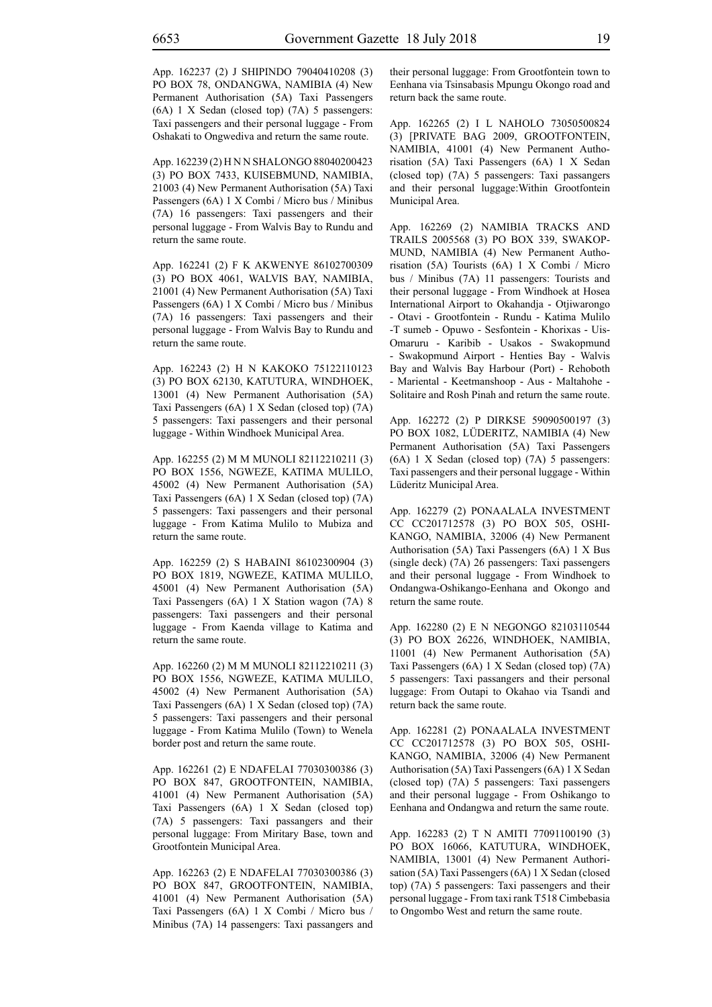App. 162237 (2) J SHIPINDO 79040410208 (3) PO BOX 78, ONDANGWA, NAMIBIA (4) New Permanent Authorisation (5A) Taxi Passengers (6A) 1 X Sedan (closed top) (7A) 5 passengers: Taxi passengers and their personal luggage - From Oshakati to Ongwediva and return the same route.

App. 162239 (2) H N N SHALONGO 88040200423 (3) PO BOX 7433, KUISEBMUND, NAMIBIA, 21003 (4) New Permanent Authorisation (5A) Taxi Passengers (6A) 1 X Combi / Micro bus / Minibus (7A) 16 passengers: Taxi passengers and their personal luggage - From Walvis Bay to Rundu and return the same route.

App. 162241 (2) F K AKWENYE 86102700309 (3) PO BOX 4061, WALVIS BAY, NAMIBIA, 21001 (4) New Permanent Authorisation (5A) Taxi Passengers (6A) 1 X Combi / Micro bus / Minibus (7A) 16 passengers: Taxi passengers and their personal luggage - From Walvis Bay to Rundu and return the same route.

App. 162243 (2) H N KAKOKO 75122110123 (3) PO BOX 62130, KATUTURA, WINDHOEK, 13001 (4) New Permanent Authorisation (5A) Taxi Passengers (6A) 1 X Sedan (closed top) (7A) 5 passengers: Taxi passengers and their personal luggage - Within Windhoek Municipal Area.

App. 162255 (2) M M MUNOLI 82112210211 (3) PO BOX 1556, NGWEZE, KATIMA MULILO, 45002 (4) New Permanent Authorisation (5A) Taxi Passengers (6A) 1 X Sedan (closed top) (7A) 5 passengers: Taxi passengers and their personal luggage - From Katima Mulilo to Mubiza and return the same route.

App. 162259 (2) S HABAINI 86102300904 (3) PO BOX 1819, NGWEZE, KATIMA MULILO, 45001 (4) New Permanent Authorisation (5A) Taxi Passengers (6A) 1 X Station wagon (7A) 8 passengers: Taxi passengers and their personal luggage - From Kaenda village to Katima and return the same route.

App. 162260 (2) M M MUNOLI 82112210211 (3) PO BOX 1556, NGWEZE, KATIMA MULILO, 45002 (4) New Permanent Authorisation (5A) Taxi Passengers (6A) 1 X Sedan (closed top) (7A) 5 passengers: Taxi passengers and their personal luggage - From Katima Mulilo (Town) to Wenela border post and return the same route.

App. 162261 (2) E NDAFELAI 77030300386 (3) PO BOX 847, GROOTFONTEIN, NAMIBIA, 41001 (4) New Permanent Authorisation (5A) Taxi Passengers (6A) 1 X Sedan (closed top) (7A) 5 passengers: Taxi passangers and their personal luggage: From Miritary Base, town and Grootfontein Municipal Area.

App. 162263 (2) E NDAFELAI 77030300386 (3) PO BOX 847, GROOTFONTEIN, NAMIBIA, 41001 (4) New Permanent Authorisation (5A) Taxi Passengers (6A) 1 X Combi / Micro bus / Minibus (7A) 14 passengers: Taxi passangers and their personal luggage: From Grootfontein town to Eenhana via Tsinsabasis Mpungu Okongo road and return back the same route.

App. 162265 (2) I L NAHOLO 73050500824 (3) [PRIVATE BAG 2009, GROOTFONTEIN, NAMIBIA, 41001 (4) New Permanent Authorisation (5A) Taxi Passengers (6A) 1 X Sedan (closed top) (7A) 5 passengers: Taxi passangers and their personal luggage:Within Grootfontein Municipal Area.

App. 162269 (2) NAMIBIA TRACKS AND TRAILS 2005568 (3) PO BOX 339, SWAKOP-MUND, NAMIBIA (4) New Permanent Authorisation (5A) Tourists (6A) 1 X Combi / Micro bus / Minibus (7A) 11 passengers: Tourists and their personal luggage - From Windhoek at Hosea International Airport to Okahandja - Otjiwarongo - Otavi - Grootfontein - Rundu - Katima Mulilo -T sumeb - Opuwo - Sesfontein - Khorixas - Uis-Omaruru - Karibib - Usakos - Swakopmund - Swakopmund Airport - Henties Bay - Walvis Bay and Walvis Bay Harbour (Port) - Rehoboth - Mariental - Keetmanshoop - Aus - Maltahohe - Solitaire and Rosh Pinah and return the same route.

App. 162272 (2) P DIRKSE 59090500197 (3) PO BOX 1082, LÜDERITZ, NAMIBIA (4) New Permanent Authorisation (5A) Taxi Passengers (6A) 1 X Sedan (closed top) (7A) 5 passengers: Taxi passengers and their personal luggage - Within Lüderitz Municipal Area.

App. 162279 (2) PONAALALA INVESTMENT CC CC201712578 (3) PO BOX 505, OSHI-KANGO, NAMIBIA, 32006 (4) New Permanent Authorisation (5A) Taxi Passengers (6A) 1 X Bus (single deck) (7A) 26 passengers: Taxi passengers and their personal luggage - From Windhoek to Ondangwa-Oshikango-Eenhana and Okongo and return the same route.

App. 162280 (2) E N NEGONGO 82103110544 (3) PO BOX 26226, WINDHOEK, NAMIBIA, 11001 (4) New Permanent Authorisation (5A) Taxi Passengers (6A) 1 X Sedan (closed top) (7A) 5 passengers: Taxi passangers and their personal luggage: From Outapi to Okahao via Tsandi and return back the same route.

App. 162281 (2) PONAALALA INVESTMENT CC CC201712578 (3) PO BOX 505, OSHI-KANGO, NAMIBIA, 32006 (4) New Permanent Authorisation (5A) Taxi Passengers (6A) 1 X Sedan (closed top) (7A) 5 passengers: Taxi passengers and their personal luggage - From Oshikango to Eenhana and Ondangwa and return the same route.

App. 162283 (2) T N AMITI 77091100190 (3) PO BOX 16066, KATUTURA, WINDHOEK, NAMIBIA, 13001 (4) New Permanent Authorisation (5A) Taxi Passengers (6A) 1 X Sedan (closed top) (7A) 5 passengers: Taxi passengers and their personal luggage - From taxi rank T518 Cimbebasia to Ongombo West and return the same route.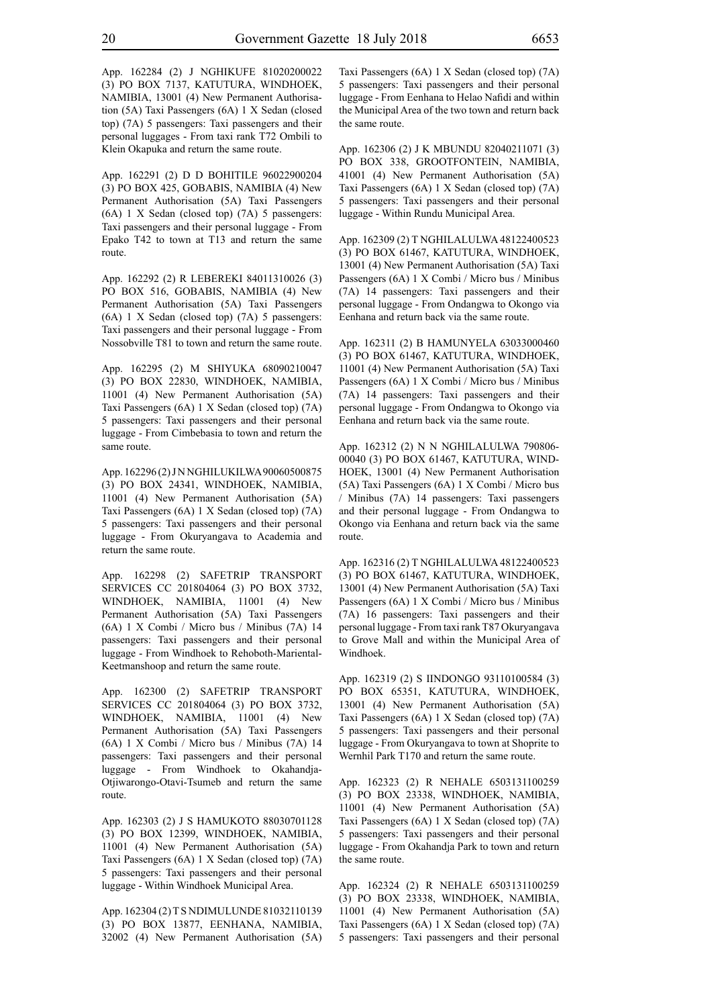App. 162284 (2) J NGHIKUFE 81020200022 (3) PO BOX 7137, KATUTURA, WINDHOEK, NAMIBIA, 13001 (4) New Permanent Authorisation (5A) Taxi Passengers (6A) 1 X Sedan (closed top) (7A) 5 passengers: Taxi passengers and their personal luggages - From taxi rank T72 Ombili to Klein Okapuka and return the same route.

App. 162291 (2) D D BOHITILE 96022900204 (3) PO BOX 425, GOBABIS, NAMIBIA (4) New Permanent Authorisation (5A) Taxi Passengers (6A) 1 X Sedan (closed top) (7A) 5 passengers: Taxi passengers and their personal luggage - From Epako T42 to town at T13 and return the same route.

App. 162292 (2) R LEBEREKI 84011310026 (3) PO BOX 516, GOBABIS, NAMIBIA (4) New Permanent Authorisation (5A) Taxi Passengers (6A) 1 X Sedan (closed top) (7A) 5 passengers: Taxi passengers and their personal luggage - From Nossobville T81 to town and return the same route.

App. 162295 (2) M SHIYUKA 68090210047 (3) PO BOX 22830, WINDHOEK, NAMIBIA, 11001 (4) New Permanent Authorisation (5A) Taxi Passengers (6A) 1 X Sedan (closed top) (7A) 5 passengers: Taxi passengers and their personal luggage - From Cimbebasia to town and return the same route.

App. 162296 (2) J N NGHILUKILWA 90060500875 (3) PO BOX 24341, WINDHOEK, NAMIBIA, 11001 (4) New Permanent Authorisation (5A) Taxi Passengers (6A) 1 X Sedan (closed top) (7A) 5 passengers: Taxi passengers and their personal luggage - From Okuryangava to Academia and return the same route.

App. 162298 (2) SAFETRIP TRANSPORT SERVICES CC 201804064 (3) PO BOX 3732, WINDHOEK, NAMIBIA, 11001 (4) New Permanent Authorisation (5A) Taxi Passengers (6A) 1 X Combi / Micro bus / Minibus (7A) 14 passengers: Taxi passengers and their personal luggage - From Windhoek to Rehoboth-Mariental-Keetmanshoop and return the same route.

App. 162300 (2) SAFETRIP TRANSPORT SERVICES CC 201804064 (3) PO BOX 3732, WINDHOEK, NAMIBIA, 11001 (4) New Permanent Authorisation (5A) Taxi Passengers (6A) 1 X Combi / Micro bus / Minibus (7A) 14 passengers: Taxi passengers and their personal luggage - From Windhoek to Okahandja-Otjiwarongo-Otavi-Tsumeb and return the same route.

App. 162303 (2) J S HAMUKOTO 88030701128 (3) PO BOX 12399, WINDHOEK, NAMIBIA, 11001 (4) New Permanent Authorisation (5A) Taxi Passengers (6A) 1 X Sedan (closed top) (7A) 5 passengers: Taxi passengers and their personal luggage - Within Windhoek Municipal Area.

App. 162304 (2) T S NDIMULUNDE 81032110139 (3) PO BOX 13877, EENHANA, NAMIBIA, 32002 (4) New Permanent Authorisation (5A) Taxi Passengers (6A) 1 X Sedan (closed top) (7A) 5 passengers: Taxi passengers and their personal luggage - From Eenhana to Helao Nafidi and within the Municipal Area of the two town and return back the same route.

App. 162306 (2) J K MBUNDU 82040211071 (3) PO BOX 338, GROOTFONTEIN, NAMIBIA, 41001 (4) New Permanent Authorisation (5A) Taxi Passengers (6A) 1 X Sedan (closed top) (7A) 5 passengers: Taxi passengers and their personal luggage - Within Rundu Municipal Area.

App. 162309 (2) T NGHILALULWA 48122400523 (3) PO BOX 61467, KATUTURA, WINDHOEK, 13001 (4) New Permanent Authorisation (5A) Taxi Passengers (6A) 1 X Combi / Micro bus / Minibus (7A) 14 passengers: Taxi passengers and their personal luggage - From Ondangwa to Okongo via Eenhana and return back via the same route.

App. 162311 (2) B HAMUNYELA 63033000460 (3) PO BOX 61467, KATUTURA, WINDHOEK, 11001 (4) New Permanent Authorisation (5A) Taxi Passengers (6A) 1 X Combi / Micro bus / Minibus (7A) 14 passengers: Taxi passengers and their personal luggage - From Ondangwa to Okongo via Eenhana and return back via the same route.

App. 162312 (2) N N NGHILALULWA 790806- 00040 (3) PO BOX 61467, KATUTURA, WIND-HOEK, 13001 (4) New Permanent Authorisation (5A) Taxi Passengers (6A) 1 X Combi / Micro bus / Minibus (7A) 14 passengers: Taxi passengers and their personal luggage - From Ondangwa to Okongo via Eenhana and return back via the same route.

App. 162316 (2) T NGHILALULWA 48122400523 (3) PO BOX 61467, KATUTURA, WINDHOEK, 13001 (4) New Permanent Authorisation (5A) Taxi Passengers (6A) 1 X Combi / Micro bus / Minibus (7A) 16 passengers: Taxi passengers and their personal luggage - From taxi rank T87 Okuryangava to Grove Mall and within the Municipal Area of Windhoek.

App. 162319 (2) S IINDONGO 93110100584 (3) PO BOX 65351, KATUTURA, WINDHOEK, 13001 (4) New Permanent Authorisation (5A) Taxi Passengers (6A) 1 X Sedan (closed top) (7A) 5 passengers: Taxi passengers and their personal luggage - From Okuryangava to town at Shoprite to Wernhil Park T170 and return the same route.

App. 162323 (2) R NEHALE 6503131100259 (3) PO BOX 23338, WINDHOEK, NAMIBIA, 11001 (4) New Permanent Authorisation (5A) Taxi Passengers (6A) 1 X Sedan (closed top) (7A) 5 passengers: Taxi passengers and their personal luggage - From Okahandja Park to town and return the same route.

App. 162324 (2) R NEHALE 6503131100259 (3) PO BOX 23338, WINDHOEK, NAMIBIA, 11001 (4) New Permanent Authorisation (5A) Taxi Passengers (6A) 1 X Sedan (closed top) (7A) 5 passengers: Taxi passengers and their personal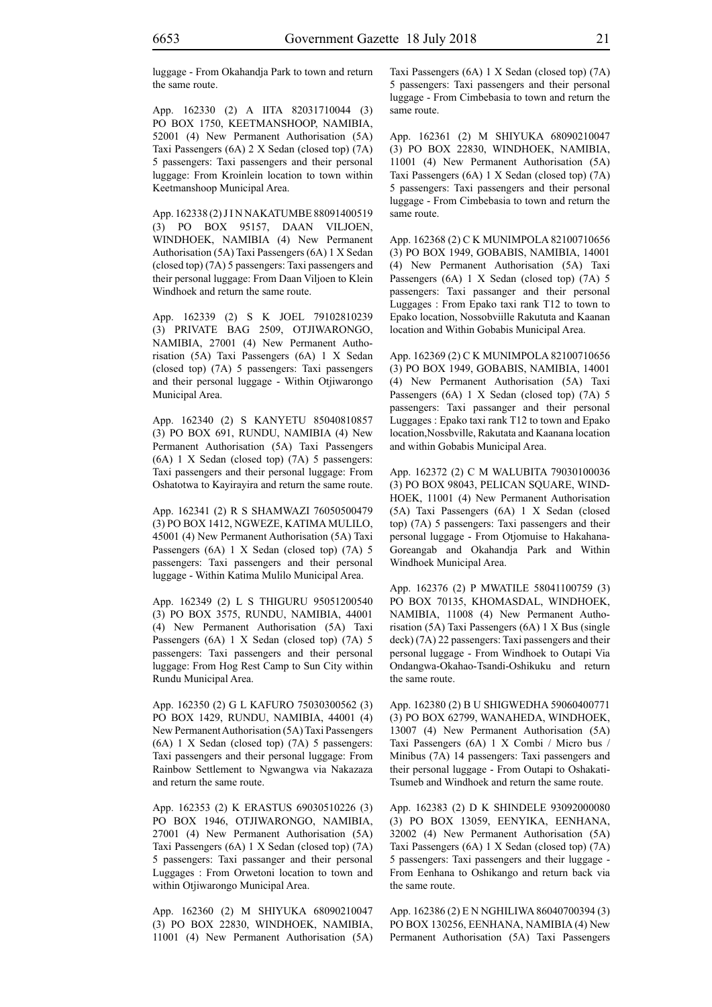luggage - From Okahandja Park to town and return the same route.

App. 162330 (2) A IITA 82031710044 (3) PO BOX 1750, KEETMANSHOOP, NAMIBIA, 52001 (4) New Permanent Authorisation (5A) Taxi Passengers (6A) 2 X Sedan (closed top) (7A) 5 passengers: Taxi passengers and their personal luggage: From Kroinlein location to town within Keetmanshoop Municipal Area.

App. 162338 (2) J I N NAKATUMBE 88091400519 (3) PO BOX 95157, DAAN VILJOEN, WINDHOEK, NAMIBIA (4) New Permanent Authorisation (5A) Taxi Passengers (6A) 1 X Sedan (closed top) (7A) 5 passengers: Taxi passengers and their personal luggage: From Daan Viljoen to Klein Windhoek and return the same route.

App. 162339 (2) S K JOEL 79102810239 (3) PRIVATE BAG 2509, OTJIWARONGO, NAMIBIA, 27001 (4) New Permanent Authorisation (5A) Taxi Passengers (6A) 1 X Sedan (closed top) (7A) 5 passengers: Taxi passengers and their personal luggage - Within Otjiwarongo Municipal Area.

App. 162340 (2) S KANYETU 85040810857 (3) PO BOX 691, RUNDU, NAMIBIA (4) New Permanent Authorisation (5A) Taxi Passengers (6A) 1 X Sedan (closed top) (7A) 5 passengers: Taxi passengers and their personal luggage: From Oshatotwa to Kayirayira and return the same route.

App. 162341 (2) R S SHAMWAZI 76050500479 (3) PO BOX 1412, NGWEZE, KATIMA MULILO, 45001 (4) New Permanent Authorisation (5A) Taxi Passengers (6A) 1 X Sedan (closed top) (7A) 5 passengers: Taxi passengers and their personal luggage - Within Katima Mulilo Municipal Area.

App. 162349 (2) L S THIGURU 95051200540 (3) PO BOX 3575, RUNDU, NAMIBIA, 44001 (4) New Permanent Authorisation (5A) Taxi Passengers (6A) 1 X Sedan (closed top) (7A) 5 passengers: Taxi passengers and their personal luggage: From Hog Rest Camp to Sun City within Rundu Municipal Area.

App. 162350 (2) G L KAFURO 75030300562 (3) PO BOX 1429, RUNDU, NAMIBIA, 44001 (4) New Permanent Authorisation (5A) Taxi Passengers (6A) 1 X Sedan (closed top) (7A) 5 passengers: Taxi passengers and their personal luggage: From Rainbow Settlement to Ngwangwa via Nakazaza and return the same route.

App. 162353 (2) K ERASTUS 69030510226 (3) PO BOX 1946, OTJIWARONGO, NAMIBIA, 27001 (4) New Permanent Authorisation (5A) Taxi Passengers (6A) 1 X Sedan (closed top) (7A) 5 passengers: Taxi passanger and their personal Luggages : From Orwetoni location to town and within Otjiwarongo Municipal Area.

App. 162360 (2) M SHIYUKA 68090210047 (3) PO BOX 22830, WINDHOEK, NAMIBIA, 11001 (4) New Permanent Authorisation (5A) Taxi Passengers (6A) 1 X Sedan (closed top) (7A) 5 passengers: Taxi passengers and their personal luggage - From Cimbebasia to town and return the same route.

App. 162361 (2) M SHIYUKA 68090210047 (3) PO BOX 22830, WINDHOEK, NAMIBIA, 11001 (4) New Permanent Authorisation (5A) Taxi Passengers (6A) 1 X Sedan (closed top) (7A) 5 passengers: Taxi passengers and their personal luggage - From Cimbebasia to town and return the same route.

App. 162368 (2) C K MUNIMPOLA 82100710656 (3) PO BOX 1949, GOBABIS, NAMIBIA, 14001 (4) New Permanent Authorisation (5A) Taxi Passengers (6A) 1 X Sedan (closed top) (7A) 5 passengers: Taxi passanger and their personal Luggages : From Epako taxi rank T12 to town to Epako location, Nossobviille Rakututa and Kaanan location and Within Gobabis Municipal Area.

App. 162369 (2) C K MUNIMPOLA 82100710656 (3) PO BOX 1949, GOBABIS, NAMIBIA, 14001 (4) New Permanent Authorisation (5A) Taxi Passengers (6A) 1 X Sedan (closed top) (7A) 5 passengers: Taxi passanger and their personal Luggages : Epako taxi rank T12 to town and Epako location,Nossbville, Rakutata and Kaanana location and within Gobabis Municipal Area.

App. 162372 (2) C M WALUBITA 79030100036 (3) PO BOX 98043, PELICAN SQUARE, WIND-HOEK, 11001 (4) New Permanent Authorisation (5A) Taxi Passengers (6A) 1 X Sedan (closed top) (7A) 5 passengers: Taxi passengers and their personal luggage - From Otjomuise to Hakahana-Goreangab and Okahandja Park and Within Windhoek Municipal Area.

App. 162376 (2) P MWATILE 58041100759 (3) PO BOX 70135, KHOMASDAL, WINDHOEK, NAMIBIA, 11008 (4) New Permanent Authorisation (5A) Taxi Passengers (6A) 1 X Bus (single deck) (7A) 22 passengers: Taxi passengers and their personal luggage - From Windhoek to Outapi Via Ondangwa-Okahao-Tsandi-Oshikuku and return the same route.

App. 162380 (2) B U SHIGWEDHA 59060400771 (3) PO BOX 62799, WANAHEDA, WINDHOEK, 13007 (4) New Permanent Authorisation (5A) Taxi Passengers (6A) 1 X Combi / Micro bus / Minibus (7A) 14 passengers: Taxi passengers and their personal luggage - From Outapi to Oshakati-Tsumeb and Windhoek and return the same route.

App. 162383 (2) D K SHINDELE 93092000080 (3) PO BOX 13059, EENYIKA, EENHANA, 32002 (4) New Permanent Authorisation (5A) Taxi Passengers (6A) 1 X Sedan (closed top) (7A) 5 passengers: Taxi passengers and their luggage - From Eenhana to Oshikango and return back via the same route.

App. 162386 (2) E N NGHILIWA 86040700394 (3) PO BOX 130256, EENHANA, NAMIBIA (4) New Permanent Authorisation (5A) Taxi Passengers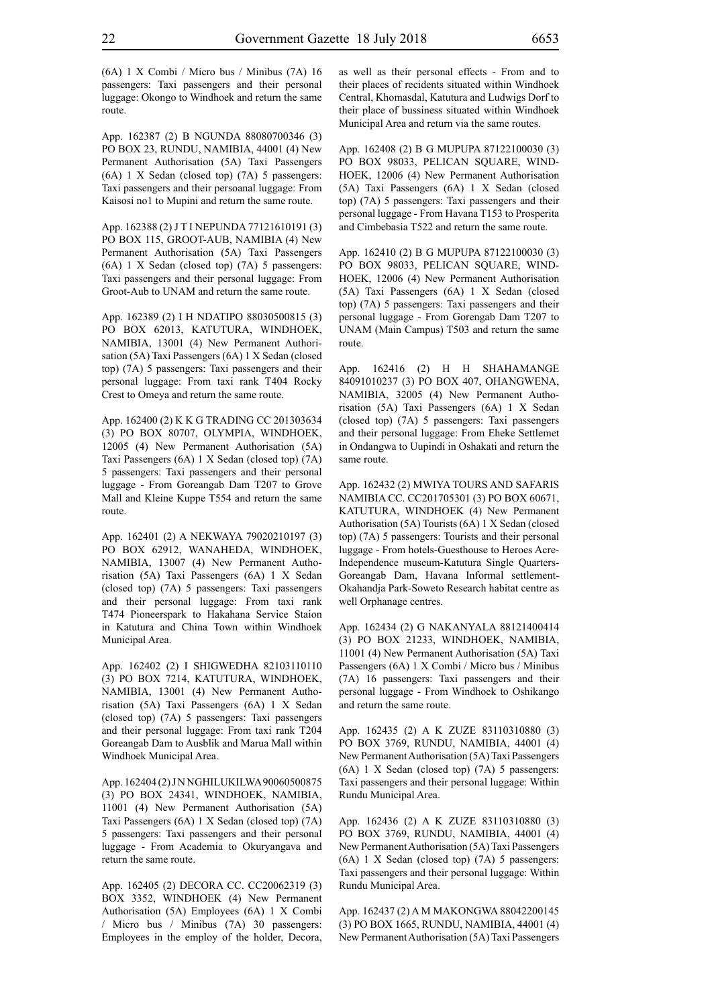App. 162387 (2) B NGUNDA 88080700346 (3) PO BOX 23, RUNDU, NAMIBIA, 44001 (4) New Permanent Authorisation (5A) Taxi Passengers (6A) 1 X Sedan (closed top) (7A) 5 passengers: Taxi passengers and their persoanal luggage: From Kaisosi no1 to Mupini and return the same route.

App. 162388 (2) J T I NEPUNDA 77121610191 (3) PO BOX 115, GROOT-AUB, NAMIBIA (4) New Permanent Authorisation (5A) Taxi Passengers (6A) 1 X Sedan (closed top) (7A) 5 passengers: Taxi passengers and their personal luggage: From Groot-Aub to UNAM and return the same route.

App. 162389 (2) I H NDATIPO 88030500815 (3) PO BOX 62013, KATUTURA, WINDHOEK, NAMIBIA, 13001 (4) New Permanent Authorisation (5A) Taxi Passengers (6A) 1 X Sedan (closed top) (7A) 5 passengers: Taxi passengers and their personal luggage: From taxi rank T404 Rocky Crest to Omeya and return the same route.

App. 162400 (2) K K G TRADING CC 201303634 (3) PO BOX 80707, OLYMPIA, WINDHOEK, 12005 (4) New Permanent Authorisation (5A) Taxi Passengers (6A) 1 X Sedan (closed top) (7A) 5 passengers: Taxi passengers and their personal luggage - From Goreangab Dam T207 to Grove Mall and Kleine Kuppe T554 and return the same route.

App. 162401 (2) A NEKWAYA 79020210197 (3) PO BOX 62912, WANAHEDA, WINDHOEK, NAMIBIA, 13007 (4) New Permanent Authorisation (5A) Taxi Passengers (6A) 1 X Sedan (closed top) (7A) 5 passengers: Taxi passengers and their personal luggage: From taxi rank T474 Pioneerspark to Hakahana Service Staion in Katutura and China Town within Windhoek Municipal Area.

App. 162402 (2) I SHIGWEDHA 82103110110 (3) PO BOX 7214, KATUTURA, WINDHOEK, NAMIBIA, 13001 (4) New Permanent Authorisation (5A) Taxi Passengers (6A) 1 X Sedan (closed top) (7A) 5 passengers: Taxi passengers and their personal luggage: From taxi rank T204 Goreangab Dam to Ausblik and Marua Mall within Windhoek Municipal Area.

App. 162404 (2) J N NGHILUKILWA 90060500875 (3) PO BOX 24341, WINDHOEK, NAMIBIA, 11001 (4) New Permanent Authorisation (5A) Taxi Passengers (6A) 1 X Sedan (closed top) (7A) 5 passengers: Taxi passengers and their personal luggage - From Academia to Okuryangava and return the same route.

App. 162405 (2) DECORA CC. CC20062319 (3) BOX 3352, WINDHOEK (4) New Permanent Authorisation (5A) Employees (6A) 1 X Combi / Micro bus / Minibus (7A) 30 passengers: Employees in the employ of the holder, Decora, as well as their personal effects - From and to their places of recidents situated within Windhoek Central, Khomasdal, Katutura and Ludwigs Dorf to their place of bussiness situated within Windhoek Municipal Area and return via the same routes.

App. 162408 (2) B G MUPUPA 87122100030 (3) PO BOX 98033, PELICAN SOUARE, WIND-HOEK, 12006 (4) New Permanent Authorisation (5A) Taxi Passengers (6A) 1 X Sedan (closed top) (7A) 5 passengers: Taxi passengers and their personal luggage - From Havana T153 to Prosperita and Cimbebasia T522 and return the same route.

App. 162410 (2) B G MUPUPA 87122100030 (3) PO BOX 98033, PELICAN SQUARE, WIND-HOEK, 12006 (4) New Permanent Authorisation (5A) Taxi Passengers (6A) 1 X Sedan (closed top) (7A) 5 passengers: Taxi passengers and their personal luggage - From Gorengab Dam T207 to UNAM (Main Campus) T503 and return the same route.

App. 162416 (2) H H SHAHAMANGE 84091010237 (3) PO BOX 407, OHANGWENA, NAMIBIA, 32005 (4) New Permanent Authorisation (5A) Taxi Passengers (6A) 1 X Sedan (closed top) (7A) 5 passengers: Taxi passengers and their personal luggage: From Eheke Settlemet in Ondangwa to Uupindi in Oshakati and return the same route.

App. 162432 (2) MWIYA TOURS AND SAFARIS NAMIBIA CC. CC201705301 (3) PO BOX 60671, KATUTURA, WINDHOEK (4) New Permanent Authorisation (5A) Tourists (6A) 1 X Sedan (closed top) (7A) 5 passengers: Tourists and their personal luggage - From hotels-Guesthouse to Heroes Acre-Independence museum-Katutura Single Quarters-Goreangab Dam, Havana Informal settlement-Okahandja Park-Soweto Research habitat centre as well Orphanage centres.

App. 162434 (2) G NAKANYALA 88121400414 (3) PO BOX 21233, WINDHOEK, NAMIBIA, 11001 (4) New Permanent Authorisation (5A) Taxi Passengers (6A) 1 X Combi / Micro bus / Minibus (7A) 16 passengers: Taxi passengers and their personal luggage - From Windhoek to Oshikango and return the same route.

App. 162435 (2) A K ZUZE 83110310880 (3) PO BOX 3769, RUNDU, NAMIBIA, 44001 (4) New Permanent Authorisation (5A) Taxi Passengers (6A) 1 X Sedan (closed top) (7A) 5 passengers: Taxi passengers and their personal luggage: Within Rundu Municipal Area.

App. 162436 (2) A K ZUZE 83110310880 (3) PO BOX 3769, RUNDU, NAMIBIA, 44001 (4) New Permanent Authorisation (5A) Taxi Passengers (6A) 1 X Sedan (closed top) (7A) 5 passengers: Taxi passengers and their personal luggage: Within Rundu Municipal Area.

App. 162437 (2) A M MAKONGWA 88042200145 (3) PO BOX 1665, RUNDU, NAMIBIA, 44001 (4) New Permanent Authorisation (5A) Taxi Passengers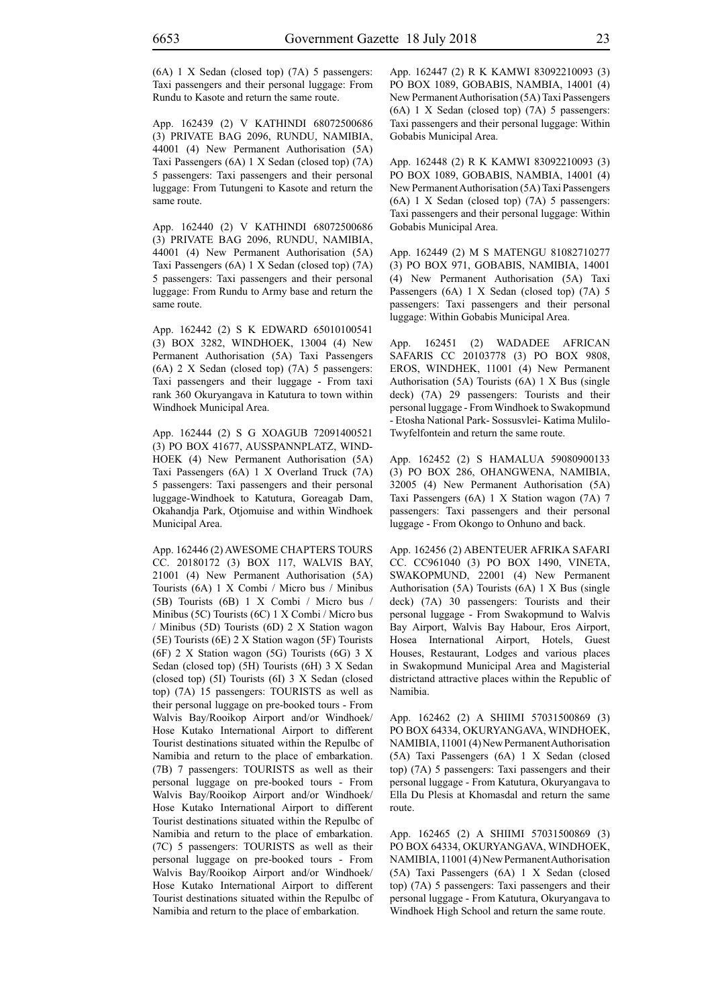(6A) 1 X Sedan (closed top) (7A) 5 passengers: Taxi passengers and their personal luggage: From Rundu to Kasote and return the same route.

App. 162439 (2) V KATHINDI 68072500686 (3) PRIVATE BAG 2096, RUNDU, NAMIBIA, 44001 (4) New Permanent Authorisation (5A) Taxi Passengers (6A) 1 X Sedan (closed top) (7A) 5 passengers: Taxi passengers and their personal luggage: From Tutungeni to Kasote and return the same route.

App. 162440 (2) V KATHINDI 68072500686 (3) PRIVATE BAG 2096, RUNDU, NAMIBIA, 44001 (4) New Permanent Authorisation (5A) Taxi Passengers (6A) 1 X Sedan (closed top) (7A) 5 passengers: Taxi passengers and their personal luggage: From Rundu to Army base and return the same route.

App. 162442 (2) S K EDWARD 65010100541 (3) BOX 3282, WINDHOEK, 13004 (4) New Permanent Authorisation (5A) Taxi Passengers (6A) 2 X Sedan (closed top) (7A) 5 passengers: Taxi passengers and their luggage - From taxi rank 360 Okuryangava in Katutura to town within Windhoek Municipal Area.

App. 162444 (2) S G XOAGUB 72091400521 (3) PO BOX 41677, AUSSPANNPLATZ, WIND-HOEK (4) New Permanent Authorisation (5A) Taxi Passengers (6A) 1 X Overland Truck (7A) 5 passengers: Taxi passengers and their personal luggage-Windhoek to Katutura, Goreagab Dam, Okahandja Park, Otjomuise and within Windhoek Municipal Area.

App. 162446 (2) AWESOME CHAPTERS TOURS CC. 20180172 (3) BOX 117, WALVIS BAY, 21001 (4) New Permanent Authorisation (5A) Tourists (6A) 1 X Combi / Micro bus / Minibus (5B) Tourists (6B) 1 X Combi / Micro bus / Minibus (5C) Tourists (6C) 1 X Combi / Micro bus / Minibus (5D) Tourists (6D) 2 X Station wagon (5E) Tourists (6E) 2 X Station wagon (5F) Tourists (6F) 2 X Station wagon (5G) Tourists (6G) 3 X Sedan (closed top) (5H) Tourists (6H) 3 X Sedan (closed top) (5I) Tourists (6I) 3 X Sedan (closed top) (7A) 15 passengers: TOURISTS as well as their personal luggage on pre-booked tours - From Walvis Bay/Rooikop Airport and/or Windhoek/ Hose Kutako International Airport to different Tourist destinations situated within the Repulbc of Namibia and return to the place of embarkation. (7B) 7 passengers: TOURISTS as well as their personal luggage on pre-booked tours - From Walvis Bay/Rooikop Airport and/or Windhoek/ Hose Kutako International Airport to different Tourist destinations situated within the Repulbc of Namibia and return to the place of embarkation. (7C) 5 passengers: TOURISTS as well as their personal luggage on pre-booked tours - From Walvis Bay/Rooikop Airport and/or Windhoek/ Hose Kutako International Airport to different Tourist destinations situated within the Repulbc of Namibia and return to the place of embarkation.

App. 162447 (2) R K KAMWI 83092210093 (3) PO BOX 1089, GOBABIS, NAMBIA, 14001 (4) New Permanent Authorisation (5A) Taxi Passengers (6A) 1 X Sedan (closed top) (7A) 5 passengers: Taxi passengers and their personal luggage: Within Gobabis Municipal Area.

App. 162448 (2) R K KAMWI 83092210093 (3) PO BOX 1089, GOBABIS, NAMBIA, 14001 (4) New Permanent Authorisation (5A) Taxi Passengers (6A) 1 X Sedan (closed top) (7A) 5 passengers: Taxi passengers and their personal luggage: Within Gobabis Municipal Area.

App. 162449 (2) M S MATENGU 81082710277 (3) PO BOX 971, GOBABIS, NAMIBIA, 14001 (4) New Permanent Authorisation (5A) Taxi Passengers (6A) 1 X Sedan (closed top) (7A) 5 passengers: Taxi passengers and their personal luggage: Within Gobabis Municipal Area.

App. 162451 (2) WADADEE AFRICAN SAFARIS CC 20103778 (3) PO BOX 9808, EROS, WINDHEK, 11001 (4) New Permanent Authorisation (5A) Tourists (6A) 1 X Bus (single deck) (7A) 29 passengers: Tourists and their personal luggage - From Windhoek to Swakopmund - Etosha National Park- Sossusvlei- Katima Mulilo-Twyfelfontein and return the same route.

App. 162452 (2) S HAMALUA 59080900133 (3) PO BOX 286, OHANGWENA, NAMIBIA, 32005 (4) New Permanent Authorisation (5A) Taxi Passengers (6A) 1 X Station wagon (7A) 7 passengers: Taxi passengers and their personal luggage - From Okongo to Onhuno and back.

App. 162456 (2) ABENTEUER AFRIKA SAFARI CC. CC961040 (3) PO BOX 1490, VINETA, SWAKOPMUND, 22001 (4) New Permanent Authorisation (5A) Tourists (6A) 1 X Bus (single deck) (7A) 30 passengers: Tourists and their personal luggage - From Swakopmund to Walvis Bay Airport, Walvis Bay Habour, Eros Airport, Hosea International Airport, Hotels, Guest Houses, Restaurant, Lodges and various places in Swakopmund Municipal Area and Magisterial districtand attractive places within the Republic of Namibia.

App. 162462 (2) A SHIIMI 57031500869 (3) PO BOX 64334, OKURYANGAVA, WINDHOEK, NAMIBIA, 11001 (4) New Permanent Authorisation (5A) Taxi Passengers (6A) 1 X Sedan (closed top) (7A) 5 passengers: Taxi passengers and their personal luggage - From Katutura, Okuryangava to Ella Du Plesis at Khomasdal and return the same route.

App. 162465 (2) A SHIIMI 57031500869 (3) PO BOX 64334, OKURYANGAVA, WINDHOEK, NAMIBIA, 11001 (4) New Permanent Authorisation (5A) Taxi Passengers (6A) 1 X Sedan (closed top) (7A) 5 passengers: Taxi passengers and their personal luggage - From Katutura, Okuryangava to Windhoek High School and return the same route.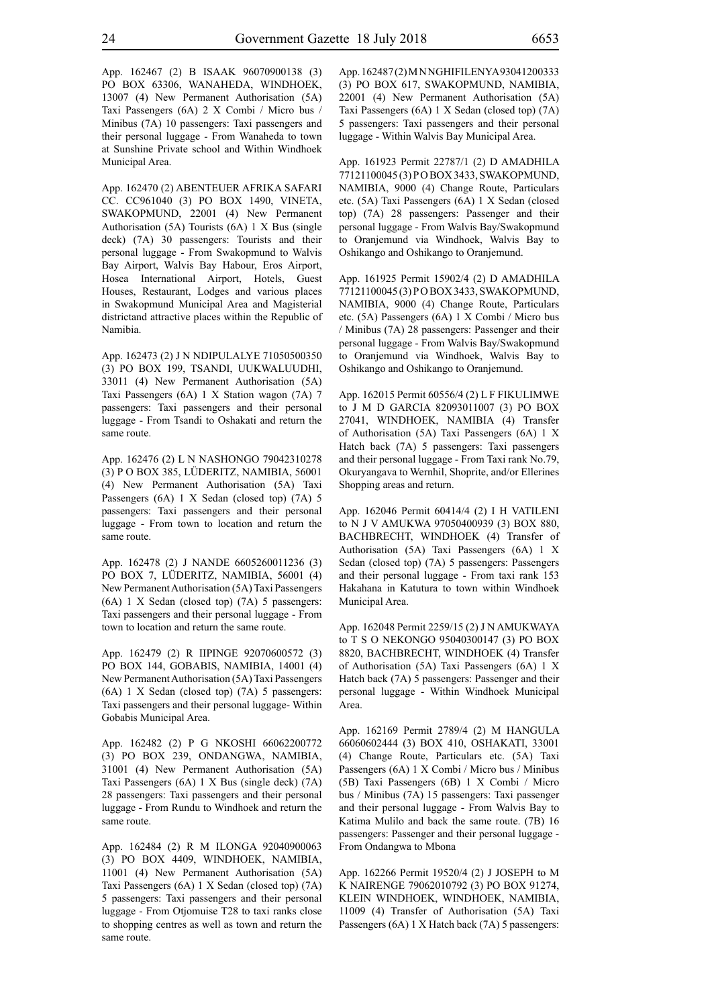App. 162467 (2) B ISAAK 96070900138 (3) PO BOX 63306, WANAHEDA, WINDHOEK, 13007 (4) New Permanent Authorisation (5A) Taxi Passengers (6A) 2 X Combi / Micro bus / Minibus (7A) 10 passengers: Taxi passengers and their personal luggage - From Wanaheda to town at Sunshine Private school and Within Windhoek Municipal Area.

App. 162470 (2) ABENTEUER AFRIKA SAFARI CC. CC961040 (3) PO BOX 1490, VINETA, SWAKOPMUND, 22001 (4) New Permanent Authorisation (5A) Tourists (6A) 1 X Bus (single deck) (7A) 30 passengers: Tourists and their personal luggage - From Swakopmund to Walvis Bay Airport, Walvis Bay Habour, Eros Airport, Hosea International Airport, Hotels, Guest Houses, Restaurant, Lodges and various places in Swakopmund Municipal Area and Magisterial districtand attractive places within the Republic of Namibia.

App. 162473 (2) J N NDIPULALYE 71050500350 (3) PO BOX 199, TSANDI, UUKWALUUDHI, 33011 (4) New Permanent Authorisation (5A) Taxi Passengers (6A) 1 X Station wagon (7A) 7 passengers: Taxi passengers and their personal luggage - From Tsandi to Oshakati and return the same route.

App. 162476 (2) L N NASHONGO 79042310278 (3) P O BOX 385, LÜDERITZ, NAMIBIA, 56001 (4) New Permanent Authorisation (5A) Taxi Passengers (6A) 1 X Sedan (closed top) (7A) 5 passengers: Taxi passengers and their personal luggage - From town to location and return the same route.

App. 162478 (2) J NANDE 6605260011236 (3) PO BOX 7, LÜDERITZ, NAMIBIA, 56001 (4) New Permanent Authorisation (5A) Taxi Passengers (6A) 1 X Sedan (closed top) (7A) 5 passengers: Taxi passengers and their personal luggage - From town to location and return the same route.

App. 162479 (2) R IIPINGE 92070600572 (3) PO BOX 144, GOBABIS, NAMIBIA, 14001 (4) New Permanent Authorisation (5A) Taxi Passengers (6A) 1 X Sedan (closed top) (7A) 5 passengers: Taxi passengers and their personal luggage- Within Gobabis Municipal Area.

App. 162482 (2) P G NKOSHI 66062200772 (3) PO BOX 239, ONDANGWA, NAMIBIA, 31001 (4) New Permanent Authorisation (5A) Taxi Passengers (6A) 1 X Bus (single deck) (7A) 28 passengers: Taxi passengers and their personal luggage - From Rundu to Windhoek and return the same route.

App. 162484 (2) R M ILONGA 92040900063 (3) PO BOX 4409, WINDHOEK, NAMIBIA, 11001 (4) New Permanent Authorisation (5A) Taxi Passengers (6A) 1 X Sedan (closed top) (7A) 5 passengers: Taxi passengers and their personal luggage - From Otjomuise T28 to taxi ranks close to shopping centres as well as town and return the same route.

App. 162487 (2) M N NGHIFILENYA 93041200333 (3) PO BOX 617, SWAKOPMUND, NAMIBIA, 22001 (4) New Permanent Authorisation (5A) Taxi Passengers (6A) 1 X Sedan (closed top) (7A) 5 passengers: Taxi passengers and their personal luggage - Within Walvis Bay Municipal Area.

App. 161923 Permit 22787/1 (2) D AMADHILA 77121100045 (3) P O BOX 3433, SWAKOPMUND, NAMIBIA, 9000 (4) Change Route, Particulars etc. (5A) Taxi Passengers (6A) 1 X Sedan (closed top) (7A) 28 passengers: Passenger and their personal luggage - From Walvis Bay/Swakopmund to Oranjemund via Windhoek, Walvis Bay to Oshikango and Oshikango to Oranjemund.

App. 161925 Permit 15902/4 (2) D AMADHILA 77121100045 (3) P O BOX 3433, SWAKOPMUND, NAMIBIA, 9000 (4) Change Route, Particulars etc. (5A) Passengers (6A) 1 X Combi / Micro bus / Minibus (7A) 28 passengers: Passenger and their personal luggage - From Walvis Bay/Swakopmund to Oranjemund via Windhoek, Walvis Bay to Oshikango and Oshikango to Oranjemund.

App. 162015 Permit 60556/4 (2) L F FIKULIMWE to J M D GARCIA 82093011007 (3) PO BOX 27041, WINDHOEK, NAMIBIA (4) Transfer of Authorisation (5A) Taxi Passengers (6A) 1 X Hatch back (7A) 5 passengers: Taxi passengers and their personal luggage - From Taxi rank No.79, Okuryangava to Wernhil, Shoprite, and/or Ellerines Shopping areas and return.

App. 162046 Permit 60414/4 (2) I H VATILENI to N J V AMUKWA 97050400939 (3) BOX 880, BACHBRECHT, WINDHOEK (4) Transfer of Authorisation (5A) Taxi Passengers (6A) 1 X Sedan (closed top) (7A) 5 passengers: Passengers and their personal luggage - From taxi rank 153 Hakahana in Katutura to town within Windhoek Municipal Area.

App. 162048 Permit 2259/15 (2) J N AMUKWAYA to T S O NEKONGO 95040300147 (3) PO BOX 8820, BACHBRECHT, WINDHOEK (4) Transfer of Authorisation (5A) Taxi Passengers (6A) 1 X Hatch back (7A) 5 passengers: Passenger and their personal luggage - Within Windhoek Municipal Area.

App. 162169 Permit 2789/4 (2) M HANGULA 66060602444 (3) BOX 410, OSHAKATI, 33001 (4) Change Route, Particulars etc. (5A) Taxi Passengers (6A) 1 X Combi / Micro bus / Minibus (5B) Taxi Passengers (6B) 1 X Combi / Micro bus / Minibus (7A) 15 passengers: Taxi passenger and their personal luggage - From Walvis Bay to Katima Mulilo and back the same route. (7B) 16 passengers: Passenger and their personal luggage - From Ondangwa to Mbona

App. 162266 Permit 19520/4 (2) J JOSEPH to M K NAIRENGE 79062010792 (3) PO BOX 91274, KLEIN WINDHOEK, WINDHOEK, NAMIBIA, 11009 (4) Transfer of Authorisation (5A) Taxi Passengers (6A) 1 X Hatch back (7A) 5 passengers: